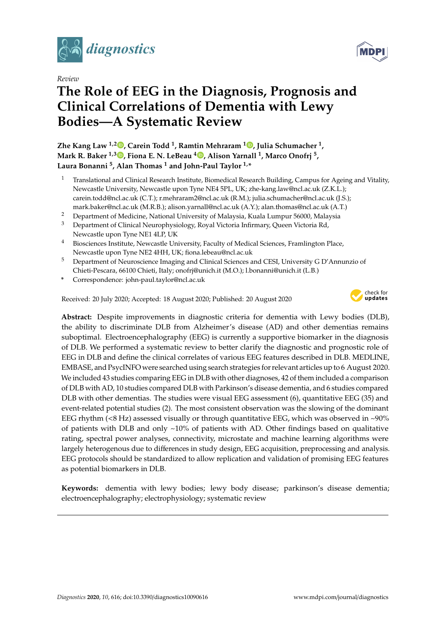

*Review*

# **The Role of EEG in the Diagnosis, Prognosis and Clinical Correlations of Dementia with Lewy Bodies—A Systematic Review**

**Zhe Kang Law 1,[2](https://orcid.org/0000-0002-7900-9037) , Carein Todd <sup>1</sup> , Ramtin Mehraram <sup>1</sup> [,](https://orcid.org/0000-0003-2567-2228) Julia Schumacher <sup>1</sup> , Mark R. Baker 1,3 [,](https://orcid.org/0000-0001-6916-1329) Fiona E. N. LeBeau <sup>4</sup> [,](https://orcid.org/0000-0003-1453-4022) Alison Yarnall <sup>1</sup> , Marco Onofrj <sup>5</sup> , Laura Bonanni <sup>5</sup> , Alan Thomas <sup>1</sup> and John-Paul Taylor 1,\***

- <sup>1</sup> Translational and Clinical Research Institute, Biomedical Research Building, Campus for Ageing and Vitality, Newcastle University, Newcastle upon Tyne NE4 5PL, UK; zhe-kang.law@ncl.ac.uk (Z.K.L.); carein.todd@ncl.ac.uk (C.T.); r.mehraram2@ncl.ac.uk (R.M.); julia.schumacher@ncl.ac.uk (J.S.); mark.baker@ncl.ac.uk (M.R.B.); alison.yarnall@ncl.ac.uk (A.Y.); alan.thomas@ncl.ac.uk (A.T.)
- <sup>2</sup> Department of Medicine, National University of Malaysia, Kuala Lumpur 56000, Malaysia
- <sup>3</sup> Department of Clinical Neurophysiology, Royal Victoria Infirmary, Queen Victoria Rd, Newcastle upon Tyne NE1 4LP, UK
- <sup>4</sup> Biosciences Institute, Newcastle University, Faculty of Medical Sciences, Framlington Place, Newcastle upon Tyne NE2 4HH, UK; fiona.lebeau@ncl.ac.uk
- <sup>5</sup> Department of Neuroscience Imaging and Clinical Sciences and CESI, University G D'Annunzio of Chieti-Pescara, 66100 Chieti, Italy; onofrj@unich.it (M.O.); l.bonanni@unich.it (L.B.)
- **\*** Correspondence: john-paul.taylor@ncl.ac.uk

Received: 20 July 2020; Accepted: 18 August 2020; Published: 20 August 2020



**MDP** 

**Abstract:** Despite improvements in diagnostic criteria for dementia with Lewy bodies (DLB), the ability to discriminate DLB from Alzheimer's disease (AD) and other dementias remains suboptimal. Electroencephalography (EEG) is currently a supportive biomarker in the diagnosis of DLB. We performed a systematic review to better clarify the diagnostic and prognostic role of EEG in DLB and define the clinical correlates of various EEG features described in DLB. MEDLINE, EMBASE, and PsycINFO were searched using search strategies for relevant articles up to 6 August 2020. We included 43 studies comparing EEG in DLB with other diagnoses, 42 of them included a comparison of DLB with AD, 10 studies compared DLB with Parkinson's disease dementia, and 6 studies compared DLB with other dementias. The studies were visual EEG assessment (6), quantitative EEG (35) and event-related potential studies (2). The most consistent observation was the slowing of the dominant EEG rhythm ( $\lt8$  Hz) assessed visually or through quantitative EEG, which was observed in  $\lt90\%$ of patients with DLB and only  $\sim$ 10% of patients with AD. Other findings based on qualitative rating, spectral power analyses, connectivity, microstate and machine learning algorithms were largely heterogenous due to differences in study design, EEG acquisition, preprocessing and analysis. EEG protocols should be standardized to allow replication and validation of promising EEG features as potential biomarkers in DLB.

**Keywords:** dementia with lewy bodies; lewy body disease; parkinson's disease dementia; electroencephalography; electrophysiology; systematic review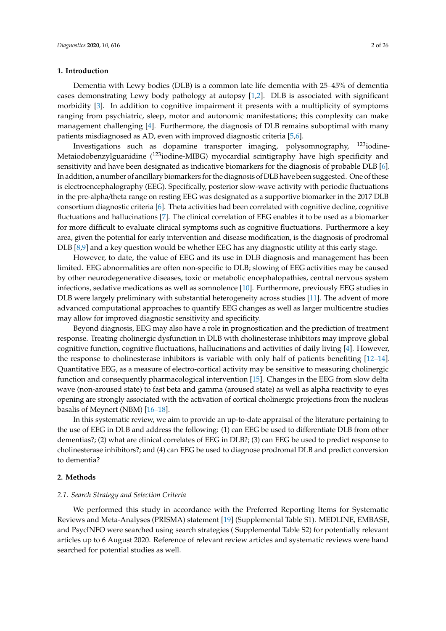#### **1. Introduction**

Dementia with Lewy bodies (DLB) is a common late life dementia with 25–45% of dementia cases demonstrating Lewy body pathology at autopsy [\[1](#page-20-0)[,2\]](#page-20-1). DLB is associated with significant morbidity [\[3\]](#page-20-2). In addition to cognitive impairment it presents with a multiplicity of symptoms ranging from psychiatric, sleep, motor and autonomic manifestations; this complexity can make management challenging [\[4\]](#page-20-3). Furthermore, the diagnosis of DLB remains suboptimal with many patients misdiagnosed as AD, even with improved diagnostic criteria [\[5,](#page-20-4)[6\]](#page-21-0).

Investigations such as dopamine transporter imaging, polysomnography, <sup>123</sup>iodine-Metaiodobenzylguanidine (123iodine-MIBG) myocardial scintigraphy have high specificity and sensitivity and have been designated as indicative biomarkers for the diagnosis of probable DLB [\[6\]](#page-21-0). In addition, a number of ancillary biomarkers for the diagnosis of DLB have been suggested. One of these is electroencephalography (EEG). Specifically, posterior slow-wave activity with periodic fluctuations in the pre-alpha/theta range on resting EEG was designated as a supportive biomarker in the 2017 DLB consortium diagnostic criteria [\[6\]](#page-21-0). Theta activities had been correlated with cognitive decline, cognitive fluctuations and hallucinations [\[7\]](#page-21-1). The clinical correlation of EEG enables it to be used as a biomarker for more difficult to evaluate clinical symptoms such as cognitive fluctuations. Furthermore a key area, given the potential for early intervention and disease modification, is the diagnosis of prodromal DLB [\[8,](#page-21-2)[9\]](#page-21-3) and a key question would be whether EEG has any diagnostic utility at this early stage.

However, to date, the value of EEG and its use in DLB diagnosis and management has been limited. EEG abnormalities are often non-specific to DLB; slowing of EEG activities may be caused by other neurodegenerative diseases, toxic or metabolic encephalopathies, central nervous system infections, sedative medications as well as somnolence [\[10\]](#page-21-4). Furthermore, previously EEG studies in DLB were largely preliminary with substantial heterogeneity across studies [\[11\]](#page-21-5). The advent of more advanced computational approaches to quantify EEG changes as well as larger multicentre studies may allow for improved diagnostic sensitivity and specificity.

Beyond diagnosis, EEG may also have a role in prognostication and the prediction of treatment response. Treating cholinergic dysfunction in DLB with cholinesterase inhibitors may improve global cognitive function, cognitive fluctuations, hallucinations and activities of daily living [\[4\]](#page-20-3). However, the response to cholinesterase inhibitors is variable with only half of patients benefiting [\[12–](#page-21-6)[14\]](#page-21-7). Quantitative EEG, as a measure of electro-cortical activity may be sensitive to measuring cholinergic function and consequently pharmacological intervention [\[15\]](#page-21-8). Changes in the EEG from slow delta wave (non-aroused state) to fast beta and gamma (aroused state) as well as alpha reactivity to eyes opening are strongly associated with the activation of cortical cholinergic projections from the nucleus basalis of Meynert (NBM) [\[16](#page-21-9)[–18\]](#page-21-10).

In this systematic review, we aim to provide an up-to-date appraisal of the literature pertaining to the use of EEG in DLB and address the following: (1) can EEG be used to differentiate DLB from other dementias?; (2) what are clinical correlates of EEG in DLB?; (3) can EEG be used to predict response to cholinesterase inhibitors?; and (4) can EEG be used to diagnose prodromal DLB and predict conversion to dementia?

#### **2. Methods**

#### *2.1. Search Strategy and Selection Criteria*

We performed this study in accordance with the Preferred Reporting Items for Systematic Reviews and Meta-Analyses (PRISMA) statement [\[19\]](#page-21-11) (Supplemental Table S1). MEDLINE, EMBASE, and PsycINFO were searched using search strategies ( Supplemental Table S2) for potentially relevant articles up to 6 August 2020. Reference of relevant review articles and systematic reviews were hand searched for potential studies as well.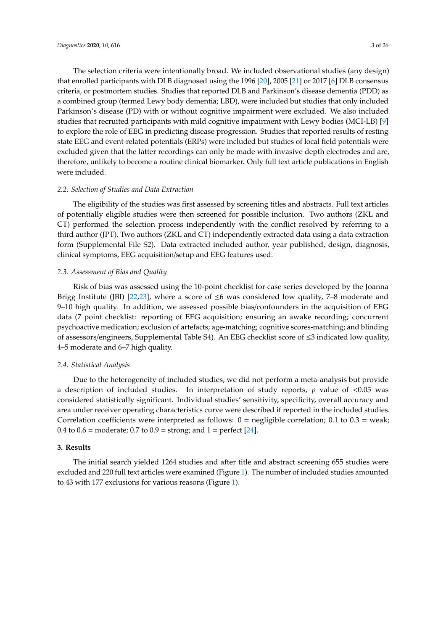The selection criteria were intentionally broad. We included observational studies (any design) that enrolled participants with DLB diagnosed using the 1996 [\[20\]](#page-21-12), 2005 [\[21\]](#page-21-13) or 2017 [\[6\]](#page-21-0) DLB consensus criteria, or postmortem studies. Studies that reported DLB and Parkinson's disease dementia (PDD) as a combined group (termed Lewy body dementia; LBD), were included but studies that only included Parkinson's disease (PD) with or without cognitive impairment were excluded. We also included studies that recruited participants with mild cognitive impairment with Lewy bodies (MCI-LB) [\[9\]](#page-21-3) to explore the role of EEG in predicting disease progression. Studies that reported results of resting state EEG and event-related potentials (ERPs) were included but studies of local field potentials were excluded given that the latter recordings can only be made with invasive depth electrodes and are, therefore, unlikely to become a routine clinical biomarker. Only full text article publications in English were included.

#### *2.2. Selection of Studies and Data Extraction*

The eligibility of the studies was first assessed by screening titles and abstracts. Full text articles of potentially eligible studies were then screened for possible inclusion. Two authors (ZKL and CT) performed the selection process independently with the conflict resolved by referring to a third author (JPT). Two authors (ZKL and CT) independently extracted data using a data extraction form (Supplemental File S2). Data extracted included author, year published, design, diagnosis, clinical symptoms, EEG acquisition/setup and EEG features used.

#### *2.3. Assessment of Bias and Quality*

Risk of bias was assessed using the 10-point checklist for case series developed by the Joanna Brigg Institute (JBI) [\[22](#page-21-14)[,23\]](#page-21-15), where a score of  $\leq 6$  was considered low quality, 7–8 moderate and 9–10 high quality. In addition, we assessed possible bias/confounders in the acquisition of EEG data (7 point checklist: reporting of EEG acquisition; ensuring an awake recording; concurrent psychoactive medication; exclusion of artefacts; age-matching; cognitive scores-matching; and blinding of assessors/engineers, Supplemental Table S4). An EEG checklist score of ≤3 indicated low quality, 4–5 moderate and 6–7 high quality.

#### *2.4. Statistical Analysis*

Due to the heterogeneity of included studies, we did not perform a meta-analysis but provide a description of included studies. In interpretation of study reports,  $p$  value of  $\langle 0.05 \rangle$  was considered statistically significant. Individual studies' sensitivity, specificity, overall accuracy and area under receiver operating characteristics curve were described if reported in the included studies. Correlation coefficients were interpreted as follows:  $0 =$  negligible correlation; 0.1 to 0.3 = weak; 0.4 to  $0.6$  = moderate; 0.7 to  $0.9$  = strong; and  $1$  = perfect [\[24\]](#page-21-16).

#### **3. Results**

The initial search yielded 1264 studies and after title and abstract screening 655 studies were excluded and 220 full text articles were examined (Figure [1\)](#page-3-0). The number of included studies amounted to 43 with 177 exclusions for various reasons (Figure [1\)](#page-3-0).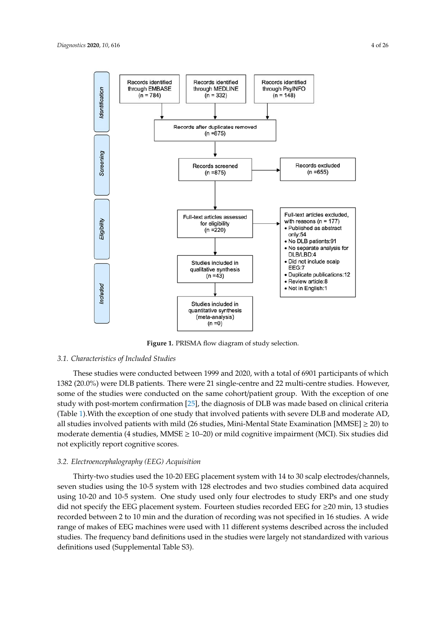<span id="page-3-0"></span>

**Figure 1.** PRISMA flow diagram of study selection.

#### *3.1. Characteristics of Included Studies*

1382 (20.0%) were DLB patients. There were 21 single-centre and 22 multi-centre studies. However, *3.1. Characteristics of Included Studies* study with post-mortem confirmation [\[25\]](#page-21-17), the diagnosis of DLB was made based on clinical criteria all studies involved patients with mild (26 studies, Mini-Mental State Examination [MMSE]  $\geq$  20) to moderate dementia (4 studies, MMSE ≥ 10–20) or mild cognitive impairment (MCI). Six studies did not explicitly report cognitive scores.  $\mathcal{L}$  , the diagnosis of DLB was made based on clinical criterial criterial criterial criterial criterial criterial criterial criterial criterial criterial criterial criterial criterial criterial criterial criterial cr These studies were conducted between 1999 and 2020, with a total of 6901 participants of which some of the studies were conducted on the same cohort/patient group. With the exception of one (Table [1\)](#page-7-0).With the exception of one study that involved patients with severe DLB and moderate AD,

### 3.2. Electroencephalography (EEG) Acquisition

Thirty-two studies used the 10-20 EEG placement system with 14 to 30 scalp electrodes/channels, made the studies and the 10–20 and procedure by stem with 11 to so study electrodes, character, seven studies using the 10-5 system with 128 electrodes and two studies combined data acquired explicit statutes deling the 10-6 system. That the executive status who statutes complete that the depinted only used only four electrodes to study ERPs and one study did not specify the EEG placement system. Fourteen studies recorded EEG for ≥20 min, 13 studies range of makes of EEG machines were used with 11 different systems described across the included studies. The frequency band definitions used in the studies were largely not standardized with various definitions used (Supplemental Table S3). recorded between 2 to 10 min and the duration of recording was not specified in 16 studies. A wide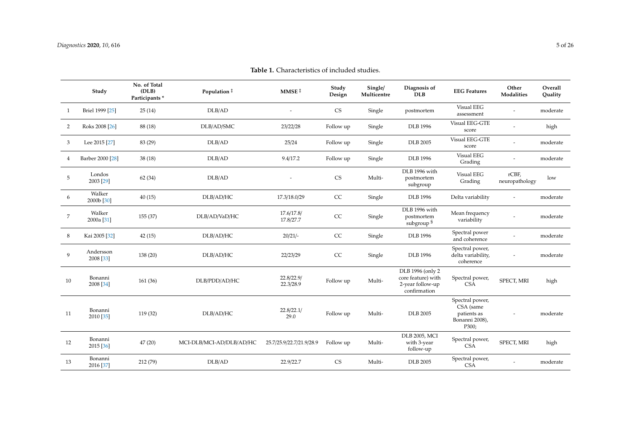|                | Study                  | No. of Total<br>(DLB)<br>Participants* | Population ‡             | MMSE <sup>#</sup>        | Study<br>Design        | Single/<br>Multicentre | Diagnosis of<br><b>DLB</b>                                                 | <b>EEG</b> Features                                                    | Other<br>Modalities     | Overall<br>Quality |
|----------------|------------------------|----------------------------------------|--------------------------|--------------------------|------------------------|------------------------|----------------------------------------------------------------------------|------------------------------------------------------------------------|-------------------------|--------------------|
| 1              | Briel 1999 [25]        | 25(14)                                 | DLB/AD                   |                          | $\mathbb{C}\mathbf{S}$ | Single                 | postmortem                                                                 | <b>Visual EEG</b><br>assessment                                        |                         | moderate           |
| $\overline{2}$ | Roks 2008 [26]         | 88 (18)                                | DLB/AD/SMC               | 23/22/28                 | Follow up              | Single                 | <b>DLB</b> 1996                                                            | Visual EEG-GTE<br>score                                                |                         | high               |
| 3              | Lee 2015 [27]          | 83 (29)                                | DLB/AD                   | 25/24                    | Follow up              | Single                 | <b>DLB</b> 2005                                                            | Visual EEG-GTE<br>score                                                |                         | moderate           |
| 4              | Barber 2000 [28]       | 38 (18)                                | DLB/AD                   | 9.4/17.2                 | Follow up              | Single                 | <b>DLB</b> 1996                                                            | Visual EEG<br>Grading                                                  |                         | moderate           |
| 5              | Londos<br>2003 [29]    | 62 (34)                                | DLB/AD                   |                          | <b>CS</b>              | Multi-                 | DLB 1996 with<br>postmortem<br>subgroup                                    | <b>Visual EEG</b><br>Grading                                           | rCBF,<br>neuropathology | low                |
| 6              | Walker<br>2000b [30]   | 40(15)                                 | DLB/AD/HC                | 17.3/18.0/29             | CC                     | Single                 | <b>DLB</b> 1996                                                            | Delta variability                                                      |                         | moderate           |
| $\overline{7}$ | Walker<br>2000a [31]   | 155(37)                                | DLB/AD/VaD/HC            | 17.6/17.8/<br>17.8/27.7  | CC                     | Single                 | DLB 1996 with<br>postmortem<br>subgroup <sup>§</sup>                       | Mean frequency<br>variability                                          |                         | moderate           |
| 8              | Kai 2005 [32]          | 42(15)                                 | DLB/AD/HC                | $20/21/-$                | CC                     | Single                 | <b>DLB</b> 1996                                                            | Spectral power<br>and coherence                                        |                         | moderate           |
| 9              | Andersson<br>2008 [33] | 138 (20)                               | DLB/AD/HC                | 22/23/29                 | CC                     | Single                 | <b>DLB</b> 1996                                                            | Spectral power,<br>delta variability,<br>coherence                     |                         | moderate           |
| 10             | Bonanni<br>2008 [34]   | 161(36)                                | DLB/PDD/AD/HC            | 22.8/22.9/<br>22.3/28.9  | Follow up              | Multi-                 | DLB 1996 (only 2<br>core feature) with<br>2-year follow-up<br>confirmation | Spectral power,<br><b>CSA</b>                                          | SPECT, MRI              | high               |
| 11             | Bonanni<br>2010 [35]   | 119 (32)                               | DLB/AD/HC                | 22.8/22.1/<br>29.0       | Follow up              | Multi-                 | <b>DLB</b> 2005                                                            | Spectral power,<br>CSA (same<br>patients as<br>Bonanni 2008),<br>P300; |                         | moderate           |
| 12             | Bonanni<br>2015 [36]   | 47(20)                                 | MCI-DLB/MCI-AD/DLB/AD/HC | 25.7/25.9/22.7/21.9/28.9 | Follow up              | Multi-                 | <b>DLB</b> 2005, MCI<br>with 3-year<br>follow-up                           | Spectral power,<br><b>CSA</b>                                          | SPECT, MRI              | high               |
| 13             | Bonanni<br>2016 [37]   | 212 (79)                               | DLB/AD                   | 22.9/22.7                | <b>CS</b>              | Multi-                 | <b>DLB</b> 2005                                                            | Spectral power,<br><b>CSA</b>                                          |                         | moderate           |

**Table 1.** Characteristics of included studies.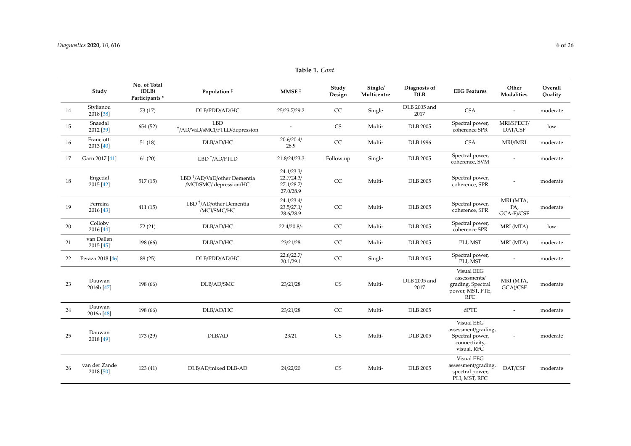| Table 1. Cont. |  |
|----------------|--|
|----------------|--|

|    | Study                           | No. of Total<br>(DLB)<br>Participants <sup>*</sup> | Population ‡                                                       | MMSE <sup>#</sup>                                   | Study<br>Design | Single/<br>Multicentre | Diagnosis of<br><b>DLB</b> | <b>EEG</b> Features                                                                  | Other<br>Modalities            | Overall<br>Quality |
|----|---------------------------------|----------------------------------------------------|--------------------------------------------------------------------|-----------------------------------------------------|-----------------|------------------------|----------------------------|--------------------------------------------------------------------------------------|--------------------------------|--------------------|
| 14 | Stylianou<br>2018 [38]          | 73 (17)                                            | DLB/PDD/AD/HC                                                      | 25/23.7/29.2                                        | CC              | Single                 | DLB 2005 and<br>2017       | <b>CSA</b>                                                                           | $\overline{\phantom{a}}$       | moderate           |
| 15 | Snaedal<br>2012 [39]            | 654 (52)                                           | <b>LBD</b><br><sup>†</sup> /AD/VaD/sMCI/FTLD/depression            |                                                     | <b>CS</b>       | Multi-                 | <b>DLB</b> 2005            | Spectral power,<br>coherence SPR                                                     | MRI/SPECT/<br>DAT/CSF          | low                |
| 16 | Franciotti<br>2013 [40]         | 51(18)                                             | DLB/AD/HC                                                          | 20.6/20.4/<br>28.9                                  | CC              | Multi-                 | <b>DLB</b> 1996            | <b>CSA</b>                                                                           | MRI/fMRI                       | moderate           |
| 17 | Garn 2017 [41]                  | 61(20)                                             | $LBD$ <sup>+</sup> /AD/FTLD                                        | 21.8/24/23.3                                        | Follow up       | Single                 | <b>DLB</b> 2005            | Spectral power,<br>coherence, SVM                                                    |                                | moderate           |
| 18 | Engedal<br>2015 [42]            | 517(15)                                            | LBD <sup>+</sup> /AD/VaD/other Dementia<br>/MCI/SMC/ depression/HC | 24.1/23.3/<br>22.7/24.3/<br>27.1/28.7/<br>27.0/28.9 | CC              | Multi-                 | <b>DLB</b> 2005            | Spectral power,<br>coherence, SPR                                                    |                                | moderate           |
| 19 | Ferreira<br>2016 [43]           | 411(15)                                            | $LBD^{\dagger}/AD/other$ Dementia<br>/MCI/SMC/HC                   | 24.1/23.4/<br>23.5/27.1/<br>28.6/28.9               | CC              | Multi-                 | <b>DLB</b> 2005            | Spectral power,<br>coherence, SPR                                                    | MRI (MTA,<br>PA,<br>GCA-F)/CSF | moderate           |
| 20 | Colloby<br>2016 [44]            | 72 (21)                                            | DLB/AD/HC                                                          | 22.4/20.8/                                          | CC              | Multi-                 | <b>DLB</b> 2005            | Spectral power,<br>coherence SPR                                                     | MRI (MTA)                      | low                |
| 21 | van Dellen<br>2015 [45]         | 198 (66)                                           | DLB/AD/HC                                                          | 23/21/28                                            | CC              | Multi-                 | <b>DLB</b> 2005            | PLI, MST                                                                             | MRI (MTA)                      | moderate           |
| 22 | Peraza 2018 [46]                | 89 (25)                                            | DLB/PDD/AD/HC                                                      | 22.6/22.7/<br>20.1/29.1                             | CC              | Single                 | <b>DLB</b> 2005            | Spectral power,<br>PLI, MST                                                          |                                | moderate           |
| 23 | Dauwan<br>2016b [47]            | 198 (66)                                           | DLB/AD/SMC                                                         | 23/21/28                                            | <b>CS</b>       | Multi-                 | DLB 2005 and<br>2017       | Visual EEG<br>assessments/<br>grading, Spectral<br>power, MST, PTE,<br><b>RFC</b>    | MRI (MTA,<br>GCA)/CSF          | moderate           |
| 24 | Dauwan<br>2016a <sup>[48]</sup> | 198 (66)                                           | DLB/AD/HC                                                          | 23/21/28                                            | CC              | Multi-                 | <b>DLB</b> 2005            | dPTE                                                                                 | $\overline{\phantom{a}}$       | moderate           |
| 25 | Dauwan<br>2018 [49]             | 173 (29)                                           | DLB/AD                                                             | 23/21                                               | <b>CS</b>       | Multi-                 | <b>DLB</b> 2005            | Visual EEG<br>assessment/grading,<br>Spectral power,<br>connectivity,<br>visual, RFC | $\overline{\phantom{a}}$       | moderate           |
| 26 | van der Zande<br>2018 [50]      | 123(41)                                            | DLB/AD/mixed DLB-AD                                                | 24/22/20                                            | <b>CS</b>       | Multi-                 | <b>DLB</b> 2005            | <b>Visual EEG</b><br>assessment/grading,<br>spectral power,<br>PLI, MST, RFC         | DAT/CSF                        | moderate           |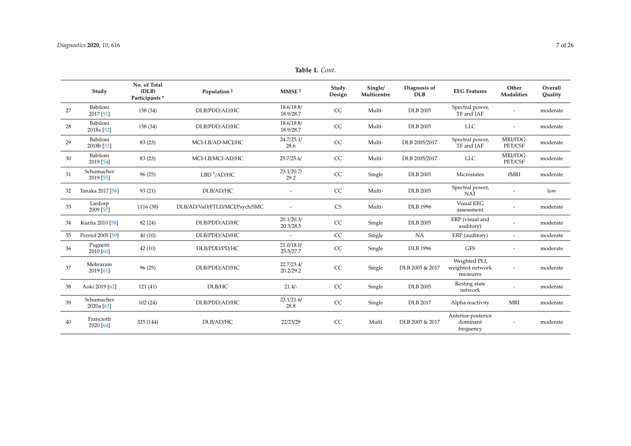|    | Study                             | No. of Total<br>(DLB)<br>Participants <sup>*</sup> | Population ‡                  | MMSE <sup>†</sup>       | Study<br>Design | Single/<br>Multicentre | Diagnosis of<br><b>DLB</b> | <b>EEG</b> Features                           | Other<br>Modalities      | Overall<br>Ouality |
|----|-----------------------------------|----------------------------------------------------|-------------------------------|-------------------------|-----------------|------------------------|----------------------------|-----------------------------------------------|--------------------------|--------------------|
| 27 | Babiloni<br>2017 [51]             | 158 (34)                                           | DLB/PDD/AD/HC                 | 18.6/18.8/<br>18.9/28.7 | CC              | Multi-                 | <b>DLB</b> 2005            | Spectral power,<br>TF and IAF                 |                          | moderate           |
| 28 | Babiloni<br>2018a <sup>[52]</sup> | 158 (34)                                           | DLB/PDD/AD/HC                 | 18.6/18.8/<br>18.9/28.7 | CC              | Multi-                 | <b>DLB</b> 2005            | <b>LLC</b>                                    |                          | moderate           |
| 29 | Babiloni<br>2018b [53]            | 83(23)                                             | MCI-LB/AD-MCI/HC              | 24.7/25.1/<br>28.6      | CC              | Multi-                 | DLB 2005/2017              | Spectral power,<br>TF and IAF                 | MRI/FDG-<br>PET/CSF      | moderate           |
| 30 | Babiloni<br>2019 [54]             | 83 (23)                                            | MCI-LB/MCI-AD/HC              | 25.7/25.6/              | CC              | Multi-                 | DLB 2005/2017              | <b>LLC</b>                                    | MRI/FDG-<br>PET/CSF      | moderate           |
| 31 | Schumacher<br>2019 [55]           | 96(25)                                             | $LBD^+/AD/HC$                 | 23.1/20.7/<br>29.2      | CC              | Single                 | <b>DLB</b> 2005            | Microstates                                   | fMRI                     | moderate           |
| 32 | Tanaka 2017 [56]                  | 93(21)                                             | DLB/AD/HC                     |                         | CC              | Multi-                 | <b>DLB</b> 2005            | Spectral power,<br><b>NAT</b>                 |                          | low                |
| 33 | Liedorp<br>2009 [57]              | 1116 (38)                                          | DLB/AD/VaD/FTLD/MCI/Psych/SMC |                         | <b>CS</b>       | Multi-                 | <b>DLB</b> 1996            | <b>Visual EEG</b><br>assessment               |                          | moderate           |
| 34 | Kurita 2010 [58]                  | 82 (24)                                            | DLB/PDD/AD/HC                 | 20.1/20.3/<br>20.3/28.5 | CC              | Single                 | <b>DLB</b> 2005            | ERP (visual and<br>auditory)                  |                          | moderate           |
| 35 | Perriol 2005 [59]                 | 40(10)                                             | DLB/PDD/AD/HC                 | $\overline{a}$          | CC              | Single                 | NA                         | ERP (auditory)                                | $\overline{\phantom{a}}$ | moderate           |
| 36 | Pugnetti<br>2010 [60]             | 42(10)                                             | DLB/PDD/PD/HC                 | 21.0/18.0/<br>25.5/27.7 | CC              | Single                 | <b>DLB</b> 1996            | <b>GFS</b>                                    | $\overline{\phantom{a}}$ | moderate           |
| 37 | Mehraram<br>2019 [61]             | 96(25)                                             | DLB/PDD/AD/HC                 | 22.7/23.4/<br>20.2/29.2 | CC              | Single                 | DLB 2005 & 2017            | Weighted PLI,<br>weighted network<br>measures | $\overline{\phantom{a}}$ | moderate           |
| 38 | Aoki 2019 [62]                    | 121(41)                                            | DLB/HC                        | $21.4/-$                | CC              | Single                 | <b>DLB</b> 2005            | Resting state<br>network                      |                          | moderate           |
| 39 | Schumacher<br>2020a [63]          | 102(24)                                            | DLB/PDD/AD/HC                 | 23.1/21.6/<br>28.8      | CC              | Single                 | <b>DLB</b> 2017            | Alpha reactivity                              | <b>MRI</b>               | moderate           |
| 40 | Franciotti<br>2020 [64]           | 325 (144)                                          | DLB/AD/HC                     | 22/23/29                | CC              | Multi                  | DLB 2005 & 2017            | Anterior-posterior<br>dominant<br>frequency   |                          | moderate           |

**Table 1.** *Cont*.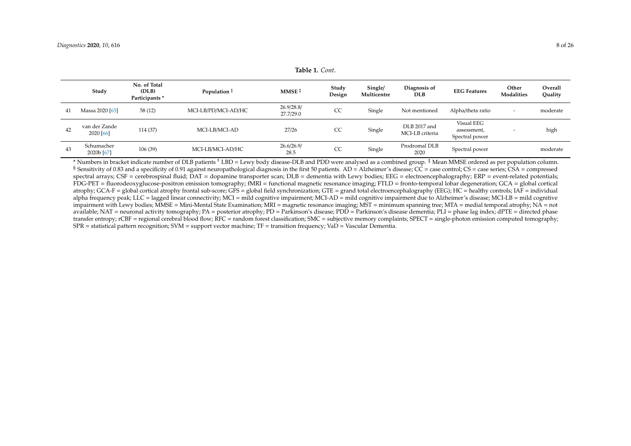**Table 1.** *Cont*.

|    | Study                               | No. of Total<br>(DLB)<br>Participants * | Population ‡        | MMSE <sup>#</sup>       | Study<br>Design | Single/<br>Multicentre | Diagnosis of<br><b>DLB</b>      | <b>EEG Features</b>                         | Other<br>Modalities      | <b>Overall</b><br>Quality |
|----|-------------------------------------|-----------------------------------------|---------------------|-------------------------|-----------------|------------------------|---------------------------------|---------------------------------------------|--------------------------|---------------------------|
| 41 | Massa 2020 [65]                     | 58(12)                                  | MCI-LB/PD/MCI-AD/HC | 26.9/28.8/<br>27.7/29.0 | CC              | Single                 | Not mentioned                   | Alpha/theta ratio                           | $\overline{\phantom{0}}$ | moderate                  |
| 42 | van der Zande<br>2020 [66]          | 114 (37)                                | MCI-LB/MCI-AD       | 27/26                   | CC              | Single                 | DLB 2017 and<br>MCI-LB criteria | Visual EEG<br>assessment,<br>Spectral power |                          | high                      |
| 43 | Schumacher<br>2020b <sup>[67]</sup> | 106(39)                                 | MCI-LB/MCI-AD/HC    | 26.6/26.9/<br>28.5      | CC              | Single                 | Prodromal DLB<br>2020           | Spectral power                              |                          | moderate                  |

<span id="page-7-0"></span>\* Numbers in bracket indicate number of DLB patients † LBD = Lewy body disease-DLB and PDD were analysed as a combined group. ‡ Mean MMSE ordered as per population column. § Sensitivity of 0.83 and a specificity of 0.91 against neuropathological diagnosis in the first 50 patients. AD = Alzheimer's disease; CC = case control; CS = case series; CSA = compressed spectral arrays; CSF = cerebrospinal fluid; DAT = dopamine transporter scan; DLB = dementia with Lewy bodies; EEG = electroencephalography; ERP = event-related potentials; FDG-PET = fluorodeoxyglucose-positron emission tomography; fMRI = functional magnetic resonance imaging; FTLD = fronto-temporal lobar degeneration; GCA = global cortical atrophy; GCA-F = global cortical atrophy frontal sub-score; GFS = global field synchronization; GTE = grand total electroencephalography (EEG); HC = healthy controls; IAF = individual alpha frequency peak; LLC = lagged linear connectivity; MCI = mild cognitive impairment; MCI-AD = mild cognitive impairment due to Alzheimer's disease; MCI-LB = mild cognitive impairment with Lewy bodies; MMSE = Mini-Mental State Examination; MRI = magnetic resonance imaging; MST = minimum spanning tree; MTA = medial temporal atrophy; NA = not available; NAT = neuronal activity tomography; PA = posterior atrophy; PD = Parkinson's disease; PDD = Parkinson's disease dementia; PLI = phase lag index; dPTE = directed phase transfer entropy; rCBF = regional cerebral blood flow; RFC = random forest classification; SMC = subjective memory complaints; SPECT = single-photon emission computed tomography; SPR = statistical pattern recognition; SVM = support vector machine; TF = transition frequency; VaD = Vascular Dementia.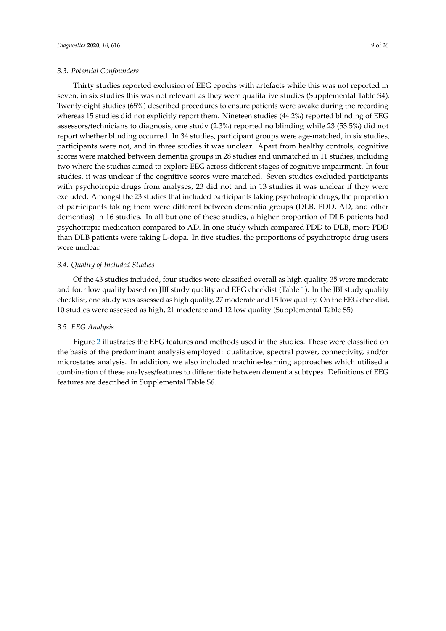Thirty studies reported exclusion of EEG epochs with artefacts while this was not reported in seven; in six studies this was not relevant as they were qualitative studies (Supplemental Table S4). Twenty-eight studies (65%) described procedures to ensure patients were awake during the recording whereas 15 studies did not explicitly report them. Nineteen studies (44.2%) reported blinding of EEG assessors/technicians to diagnosis, one study (2.3%) reported no blinding while 23 (53.5%) did not report whether blinding occurred. In 34 studies, participant groups were age-matched, in six studies, participants were not, and in three studies it was unclear. Apart from healthy controls, cognitive scores were matched between dementia groups in 28 studies and unmatched in 11 studies, including two where the studies aimed to explore EEG across different stages of cognitive impairment. In four studies, it was unclear if the cognitive scores were matched. Seven studies excluded participants with psychotropic drugs from analyses, 23 did not and in 13 studies it was unclear if they were excluded. Amongst the 23 studies that included participants taking psychotropic drugs, the proportion of participants taking them were different between dementia groups (DLB, PDD, AD, and other dementias) in 16 studies. In all but one of these studies, a higher proportion of DLB patients had psychotropic medication compared to AD. In one study which compared PDD to DLB, more PDD than DLB patients were taking L-dopa. In five studies, the proportions of psychotropic drug users were unclear.

#### *3.4. Quality of Included Studies*

Of the 43 studies included, four studies were classified overall as high quality, 35 were moderate and four low quality based on JBI study quality and EEG checklist (Table [1\)](#page-7-0). In the JBI study quality checklist, one study was assessed as high quality, 27 moderate and 15 low quality. On the EEG checklist, 10 studies were assessed as high, 21 moderate and 12 low quality (Supplemental Table S5).

#### *3.5. EEG Analysis*

Figure [2](#page-9-0) illustrates the EEG features and methods used in the studies. These were classified on the basis of the predominant analysis employed: qualitative, spectral power, connectivity, and/or microstates analysis. In addition, we also included machine-learning approaches which utilised a combination of these analyses/features to differentiate between dementia subtypes. Definitions of EEG features are described in Supplemental Table S6.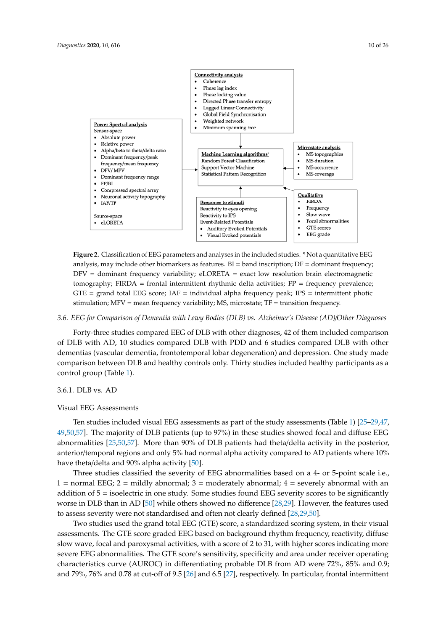<span id="page-9-0"></span>

tomography; FIRDA = frontal intermittent rhythmic delta activities; FP = frequency prevalence;  $GTE$  = grand total EEG score; IAF = individual alpha frequency peak; IPS = intermittent photic stimulation; MFV = mean frequency variability; MS, microstate; TF = transition frequency. **Figure 2.** Classification of EEG parameters and analyses in the included studies. \* Not a quantitative EEG analysis, may include other biomarkers as features.  $BI =$  band inscription;  $DF =$  dominant frequency; DFV = dominant frequency variability; eLORETA = exact low resolution brain electromagnetic

# 3.6. EEG for Comparison of Dementia with Lewy Bodies (DLB) vs. Alzheimer's Disease (AD)/Other Diagnoses

Forty-three studies compared EEG of DLB with other diagnoses, 42 of them included comparison dementias (vascular dementia, frontotemporal lobar degeneration) and depression. One study made comparison between DLB and healthy controls only. Thirty studies included healthy participants as a<br>control group (Table 1) comparison of  $\mathcal{L}_{\text{max}}$  with  $\mathcal{L}_{\text{max}}$  and  $\mathcal{L}_{\text{max}}$  and  $\mathcal{L}_{\text{max}}$  with  $\mathcal{L}_{\text{max}}$  with  $\mathcal{L}_{\text{max}}$ of DLB with AD, 10 studies compared DLB with PDD and 6 studies compared DLB with other control group (Table [1\)](#page-7-0).

# 3.6.1. DLB vs. AD

# Visual EEG Assessments

3.6.1. DLB vs. AD [49](#page-23-16)[,50,](#page-23-17)[57\]](#page-23-18). The majority of DLB patients (up to 97%) in these studies showed focal and diffuse EEG  $\frac{25,00,01}{1}$ have theta/delta and 90% alpha activity [50]. Ten studies included visual EEG assessments as part of the study assessments (Table [1\)](#page-7-0) [\[25](#page-21-17)[–29,](#page-22-18)[47,](#page-23-9) abnormalities [\[25](#page-21-17)[,50](#page-23-17)[,57\]](#page-23-18). More than 90% of DLB patients had theta/delta activity in the posterior, anterior/temporal regions and only 5% had normal alpha activity compared to AD patients where 10%

Three studies classified the severity of EEG abnormalities based on a 4- or 5-point scale i.e.,  $1 =$  normal EEG;  $2 =$  mildly abnormal;  $3 =$  moderately abnormal;  $4 =$  severely abnormal with an addition of 5 = isoelectric in one study. Some studies found EEG severity scores to be significantly worse in DLB than in AD [50] while others showed no difference [\[28,](#page-22-19)[29\]](#page-22-18). However, the features used to assess severity were not standardised and often not clearly defined [\[28,](#page-22-19)[29,](#page-22-18)[50\]](#page-23-17).

Two studies used the grand total EEG (GTE) score, a standardized scoring system, in their visual assessments. The GTE score graded EEG based on background rhythm frequency, reactivity, diffuse slow wave, focal and paroxysmal activities, with a score of 2 to 31, with higher scores indicating more severe EEG abnormalities. The GTE score's sensitivity, specificity and area under receiver operating characteristics curve (AUROC) in differentiating probable DLB from AD were 72%, 85% and 0.9; and 79%, 76% and 0.78 at cut-off of 9.5 [\[26\]](#page-22-20) and 6.5 [\[27\]](#page-22-21), respectively. In particular, frontal intermittent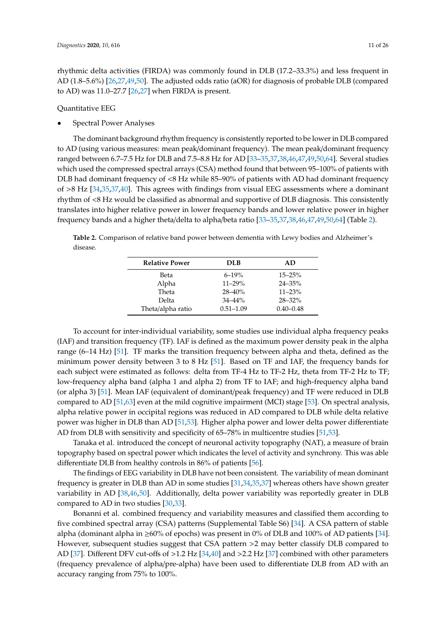rhythmic delta activities (FIRDA) was commonly found in DLB (17.2–33.3%) and less frequent in AD (1.8–5.6%) [\[26,](#page-22-20)[27,](#page-22-21)[49,](#page-23-16)[50\]](#page-23-17). The adjusted odds ratio (aOR) for diagnosis of probable DLB (compared to AD) was 11.0–27.7 [\[26,](#page-22-20)[27\]](#page-22-21) when FIRDA is present.

Quantitative EEG

• Spectral Power Analyses

The dominant background rhythm frequency is consistently reported to be lower in DLB compared to AD (using various measures: mean peak/dominant frequency). The mean peak/dominant frequency ranged between 6.7–7.5 Hz for DLB and 7.5–8.8 Hz for AD [\[33](#page-22-22)[–35](#page-22-23)[,37](#page-22-24)[,38](#page-22-25)[,46,](#page-23-19)[47,](#page-23-9)[49](#page-23-16)[,50](#page-23-17)[,64\]](#page-24-8). Several studies which used the compressed spectral arrays (CSA) method found that between 95–100% of patients with DLB had dominant frequency of <8 Hz while 85–90% of patients with AD had dominant frequency of >8 Hz [\[34](#page-22-14)[,35](#page-22-23)[,37](#page-22-24)[,40\]](#page-22-26). This agrees with findings from visual EEG assessments where a dominant rhythm of <8 Hz would be classified as abnormal and supportive of DLB diagnosis. This consistently translates into higher relative power in lower frequency bands and lower relative power in higher frequency bands and a higher theta/delta to alpha/beta ratio [\[33](#page-22-22)[–35](#page-22-23)[,37](#page-22-24)[,38](#page-22-25)[,46](#page-23-19)[,47,](#page-23-9)[49,](#page-23-16)[50,](#page-23-17)[64\]](#page-24-8) (Table [2\)](#page-10-0).

<span id="page-10-0"></span>**Table 2.** Comparison of relative band power between dementia with Lewy bodies and Alzheimer's disease.

| <b>Relative Power</b> | <b>DLB</b>    | AD.           |
|-----------------------|---------------|---------------|
| Beta                  | $6 - 19%$     | $15 - 25%$    |
| Alpha                 | $11 - 29%$    | $24 - 35\%$   |
| Theta                 | $28 - 40%$    | $11 - 23%$    |
| Delta                 | $34 - 44%$    | $28 - 32\%$   |
| Theta/alpha ratio     | $0.51 - 1.09$ | $0.40 - 0.48$ |

To account for inter-individual variability, some studies use individual alpha frequency peaks (IAF) and transition frequency (TF). IAF is defined as the maximum power density peak in the alpha range (6–14 Hz) [\[51\]](#page-23-20). TF marks the transition frequency between alpha and theta, defined as the minimum power density between 3 to 8 Hz [\[51\]](#page-23-20). Based on TF and IAF, the frequency bands for each subject were estimated as follows: delta from TF-4 Hz to TF-2 Hz, theta from TF-2 Hz to TF; low-frequency alpha band (alpha 1 and alpha 2) from TF to IAF; and high-frequency alpha band (or alpha 3) [\[51\]](#page-23-20). Mean IAF (equivalent of dominant/peak frequency) and TF were reduced in DLB compared to AD [\[51,](#page-23-20)[63\]](#page-24-9) even at the mild cognitive impairment (MCI) stage [\[53\]](#page-23-21). On spectral analysis, alpha relative power in occipital regions was reduced in AD compared to DLB while delta relative power was higher in DLB than AD [\[51](#page-23-20)[,53\]](#page-23-21). Higher alpha power and lower delta power differentiate AD from DLB with sensitivity and specificity of 65–78% in multicentre studies [\[51,](#page-23-20)[53\]](#page-23-21).

Tanaka et al. introduced the concept of neuronal activity topography (NAT), a measure of brain topography based on spectral power which indicates the level of activity and synchrony. This was able differentiate DLB from healthy controls in 86% of patients [\[56\]](#page-23-22).

The findings of EEG variability in DLB have not been consistent. The variability of mean dominant frequency is greater in DLB than AD in some studies [\[31,](#page-22-27)[34,](#page-22-14)[35,](#page-22-23)[37\]](#page-22-24) whereas others have shown greater variability in AD [\[38](#page-22-25)[,46](#page-23-19)[,50\]](#page-23-17). Additionally, delta power variability was reportedly greater in DLB compared to AD in two studies [\[30](#page-22-28)[,33\]](#page-22-22).

Bonanni et al. combined frequency and variability measures and classified them according to five combined spectral array (CSA) patterns (Supplemental Table S6) [\[34\]](#page-22-14). A CSA pattern of stable alpha (dominant alpha in  $\geq 60\%$  of epochs) was present in 0% of DLB and 100% of AD patients [\[34\]](#page-22-14). However, subsequent studies suggest that CSA pattern >2 may better classify DLB compared to AD [\[37\]](#page-22-24). Different DFV cut-offs of >1.2 Hz [\[34,](#page-22-14)[40\]](#page-22-26) and >2.2 Hz [\[37\]](#page-22-24) combined with other parameters (frequency prevalence of alpha/pre-alpha) have been used to differentiate DLB from AD with an accuracy ranging from 75% to 100%.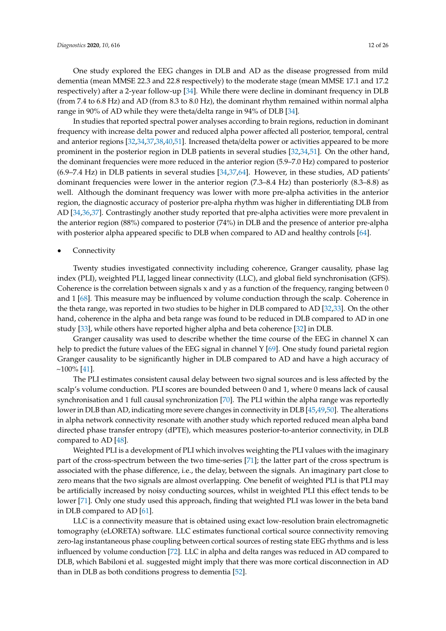One study explored the EEG changes in DLB and AD as the disease progressed from mild dementia (mean MMSE 22.3 and 22.8 respectively) to the moderate stage (mean MMSE 17.1 and 17.2 respectively) after a 2-year follow-up [\[34\]](#page-22-14). While there were decline in dominant frequency in DLB (from 7.4 to 6.8 Hz) and AD (from 8.3 to 8.0 Hz), the dominant rhythm remained within normal alpha range in 90% of AD while they were theta/delta range in 94% of DLB [\[34\]](#page-22-14).

In studies that reported spectral power analyses according to brain regions, reduction in dominant frequency with increase delta power and reduced alpha power affected all posterior, temporal, central and anterior regions [\[32,](#page-22-29)[34,](#page-22-14)[37,](#page-22-24)[38](#page-22-25)[,40](#page-22-26)[,51\]](#page-23-20). Increased theta/delta power or activities appeared to be more prominent in the posterior region in DLB patients in several studies [\[32,](#page-22-29)[34,](#page-22-14)[51\]](#page-23-20). On the other hand, the dominant frequencies were more reduced in the anterior region (5.9–7.0 Hz) compared to posterior (6.9–7.4 Hz) in DLB patients in several studies [\[34](#page-22-14)[,37](#page-22-24)[,64\]](#page-24-8). However, in these studies, AD patients' dominant frequencies were lower in the anterior region (7.3–8.4 Hz) than posteriorly (8.3–8.8) as well. Although the dominant frequency was lower with more pre-alpha activities in the anterior region, the diagnostic accuracy of posterior pre-alpha rhythm was higher in differentiating DLB from AD [\[34](#page-22-14)[,36](#page-22-30)[,37\]](#page-22-24). Contrastingly another study reported that pre-alpha activities were more prevalent in the anterior region (88%) compared to posterior (74%) in DLB and the presence of anterior pre-alpha with posterior alpha appeared specific to DLB when compared to AD and healthy controls [\[64\]](#page-24-8).

## **Connectivity**

Twenty studies investigated connectivity including coherence, Granger causality, phase lag index (PLI), weighted PLI, lagged linear connectivity (LLC), and global field synchronisation (GFS). Coherence is the correlation between signals x and y as a function of the frequency, ranging between 0 and 1 [\[68\]](#page-24-10). This measure may be influenced by volume conduction through the scalp. Coherence in the theta range, was reported in two studies to be higher in DLB compared to AD [\[32](#page-22-29)[,33\]](#page-22-22). On the other hand, coherence in the alpha and beta range was found to be reduced in DLB compared to AD in one study [\[33\]](#page-22-22), while others have reported higher alpha and beta coherence [\[32\]](#page-22-29) in DLB.

Granger causality was used to describe whether the time course of the EEG in channel X can help to predict the future values of the EEG signal in channel Y [\[69\]](#page-24-11). One study found parietal region Granger causality to be significantly higher in DLB compared to AD and have a high accuracy of  $\sim$ 100% [\[41\]](#page-22-31).

The PLI estimates consistent causal delay between two signal sources and is less affected by the scalp's volume conduction. PLI scores are bounded between 0 and 1, where 0 means lack of causal synchronisation and 1 full causal synchronization [\[70\]](#page-24-12). The PLI within the alpha range was reportedly lower in DLB than AD, indicating more severe changes in connectivity in DLB [\[45](#page-23-23)[,49,](#page-23-16)[50\]](#page-23-17). The alterations in alpha network connectivity resonate with another study which reported reduced mean alpha band directed phase transfer entropy (dPTE), which measures posterior-to-anterior connectivity, in DLB compared to AD [\[48\]](#page-23-24).

Weighted PLI is a development of PLI which involves weighting the PLI values with the imaginary part of the cross-spectrum between the two time-series [\[71\]](#page-24-13); the latter part of the cross spectrum is associated with the phase difference, i.e., the delay, between the signals. An imaginary part close to zero means that the two signals are almost overlapping. One benefit of weighted PLI is that PLI may be artificially increased by noisy conducting sources, whilst in weighted PLI this effect tends to be lower [\[71\]](#page-24-13). Only one study used this approach, finding that weighted PLI was lower in the beta band in DLB compared to AD [\[61\]](#page-24-14).

LLC is a connectivity measure that is obtained using exact low-resolution brain electromagnetic tomography (eLORETA) software. LLC estimates functional cortical source connectivity removing zero-lag instantaneous phase coupling between cortical sources of resting state EEG rhythms and is less influenced by volume conduction [\[72\]](#page-24-15). LLC in alpha and delta ranges was reduced in AD compared to DLB, which Babiloni et al. suggested might imply that there was more cortical disconnection in AD than in DLB as both conditions progress to dementia [\[52\]](#page-23-25).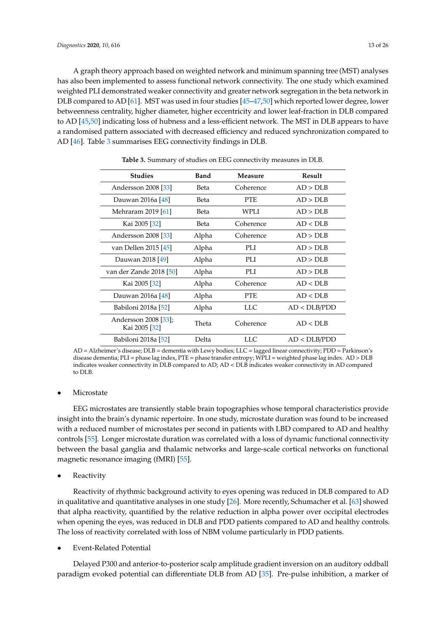A graph theory approach based on weighted network and minimum spanning tree (MST) analyses has also been implemented to assess functional network connectivity. The one study which examined weighted PLI demonstrated weaker connectivity and greater network segregation in the beta network in DLB compared to AD [\[61\]](#page-24-14). MST was used in four studies [\[45–](#page-23-23)[47](#page-23-9)[,50\]](#page-23-17) which reported lower degree, lower betweenness centrality, higher diameter, higher eccentricity and lower leaf-fraction in DLB compared to AD [\[45](#page-23-23)[,50\]](#page-23-17) indicating loss of hubness and a less-efficient network. The MST in DLB appears to have a randomised pattern associated with decreased efficiency and reduced synchronization compared to AD [\[46\]](#page-23-19). Table [3](#page-12-0) summarises EEG connectivity findings in DLB.

<span id="page-12-0"></span>

| <b>Studies</b>                        | <b>Band</b> | Measure    | Result       |
|---------------------------------------|-------------|------------|--------------|
| Andersson 2008 [33]                   | Beta        | Coherence  | AD > DLB     |
| Dauwan 2016a [48]                     | Beta        | PTE.       | AD > DLB     |
| Mehraram 2019 [61]                    | Beta        | WPLI       | AD > DI.B    |
| Kai 2005 [32]                         | Beta        | Coherence  | AD < DLB     |
| Andersson 2008 [33]                   | Alpha       | Coherence  | AD > DI.B    |
| van Dellen 2015 [45]                  | Alpha       | PLI        | AD > DI.B    |
| Dauwan 2018 [49]                      | Alpha       | PLI        | AD > DI.B    |
| van der Zande 2018 [50]               | Alpha       | PLI        | AD > DLB     |
| Kai 2005 [32]                         | Alpha       | Coherence  | AD < DI.B    |
| Dauwan 2016a [48]                     | Alpha       | <b>PTE</b> | AD < DLB     |
| Babiloni 2018a [52]                   | Alpha       | LLC        | AD < DLB/PDD |
| Andersson 2008 [33];<br>Kai 2005 [32] | Theta       | Coherence  | AD < DLB     |
| Babiloni 2018a [52]                   | Delta       | LLC        | AD < DLB/PDD |

**Table 3.** Summary of studies on EEG connectivity measures in DLB.

AD = Alzheimer's disease; DLB = dementia with Lewy bodies; LLC = lagged linear connectivity; PDD = Parkinson's disease dementia; PLI = phase lag index, PTE = phase transfer entropy; WPLI = weighted phase lag index. AD > DLB indicates weaker connectivity in DLB compared to AD; AD < DLB indicates weaker connectivity in AD compared to DLB.

#### **Microstate**

EEG microstates are transiently stable brain topographies whose temporal characteristics provide insight into the brain's dynamic repertoire. In one study, microstate duration was found to be increased with a reduced number of microstates per second in patients with LBD compared to AD and healthy controls [\[55\]](#page-23-26). Longer microstate duration was correlated with a loss of dynamic functional connectivity between the basal ganglia and thalamic networks and large-scale cortical networks on functional magnetic resonance imaging (fMRI) [\[55\]](#page-23-26).

**Reactivity** 

Reactivity of rhythmic background activity to eyes opening was reduced in DLB compared to AD in qualitative and quantitative analyses in one study [\[26\]](#page-22-20). More recently, Schumacher et al. [\[63\]](#page-24-9) showed that alpha reactivity, quantified by the relative reduction in alpha power over occipital electrodes when opening the eyes, was reduced in DLB and PDD patients compared to AD and healthy controls. The loss of reactivity correlated with loss of NBM volume particularly in PDD patients.

• Event-Related Potential

Delayed P300 and anterior-to-posterior scalp amplitude gradient inversion on an auditory oddball paradigm evoked potential can differentiate DLB from AD [\[35\]](#page-22-23). Pre-pulse inhibition, a marker of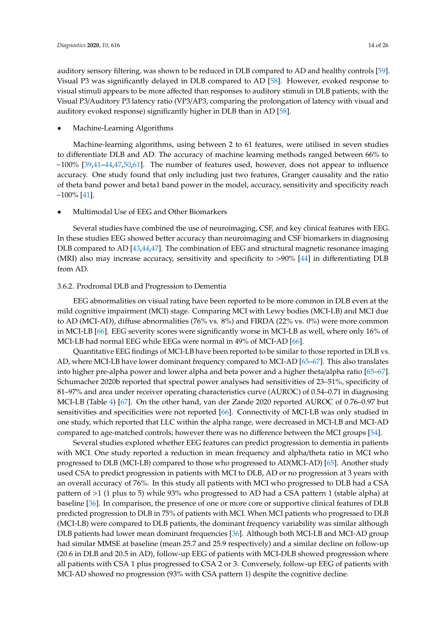auditory sensory filtering, was shown to be reduced in DLB compared to AD and healthy controls [\[59\]](#page-23-27). Visual P3 was significantly delayed in DLB compared to AD [\[58\]](#page-23-28). However, evoked response to visual stimuli appears to be more affected than responses to auditory stimuli in DLB patients, with the Visual P3/Auditory P3 latency ratio (VP3/AP3, comparing the prolongation of latency with visual and auditory evoked response) significantly higher in DLB than in AD [\[58\]](#page-23-28).

#### • Machine-Learning Algorithms

Machine-learning algorithms, using between 2 to 61 features, were utilised in seven studies to differentiate DLB and AD. The accuracy of machine learning methods ranged between 66% to  $\sim$ 100% [\[39](#page-22-32)[,41–](#page-22-31)[44](#page-23-29)[,47](#page-23-9)[,50](#page-23-17)[,61\]](#page-24-14). The number of features used, however, does not appear to influence accuracy. One study found that only including just two features, Granger causality and the ratio of theta band power and beta1 band power in the model, accuracy, sensitivity and specificity reach  $\sim$ 100% [\[41\]](#page-22-31).

• Multimodal Use of EEG and Other Biomarkers

Several studies have combined the use of neuroimaging, CSF, and key clinical features with EEG. In these studies EEG showed better accuracy than neuroimaging and CSF biomarkers in diagnosing DLB compared to AD [\[43](#page-22-33)[,44](#page-23-29)[,47\]](#page-23-9). The combination of EEG and structural magnetic resonance imaging (MRI) also may increase accuracy, sensitivity and specificity to >90% [\[44\]](#page-23-29) in differentiating DLB from AD.

#### 3.6.2. Prodromal DLB and Progression to Dementia

EEG abnormalities on visual rating have been reported to be more common in DLB even at the mild cognitive impairment (MCI) stage. Comparing MCI with Lewy bodies (MCI-LB) and MCI due to AD (MCI-AD), diffuse abnormalities (76% vs. 8%) and FIRDA (22% vs. 0%) were more common in MCI-LB [\[66\]](#page-24-16). EEG severity scores were significantly worse in MCI-LB as well, where only 16% of MCI-LB had normal EEG while EEGs were normal in 49% of MCI-AD [\[66\]](#page-24-16).

Quantitative EEG findings of MCI-LB have been reported to be similar to those reported in DLB vs. AD, where MCI-LB have lower dominant frequency compared to MCI-AD [\[65–](#page-24-17)[67\]](#page-24-18). This also translates into higher pre-alpha power and lower alpha and beta power and a higher theta/alpha ratio [\[65–](#page-24-17)[67\]](#page-24-18). Schumacher 2020b reported that spectral power analyses had sensitivities of 23–51%, specificity of 81–97% and area under receiver operating characteristics curve (AUROC) of 0.54–0.71 in diagnosing MCI-LB (Table [4\)](#page-14-0) [\[67\]](#page-24-18). On the other hand, van der Zande 2020 reported AUROC of 0.76–0.97 but sensitivities and specificities were not reported [\[66\]](#page-24-16). Connectivity of MCI-LB was only studied in one study, which reported that LLC within the alpha range, were decreased in MCI-LB and MCI-AD compared to age-matched controls; however there was no difference between the MCI groups [\[54\]](#page-23-30).

Several studies explored whether EEG features can predict progression to dementia in patients with MCI. One study reported a reduction in mean frequency and alpha/theta ratio in MCI who progressed to DLB (MCI-LB) compared to those who progressed to AD(MCI-AD) [\[65\]](#page-24-17). Another study used CSA to predict progression in patients with MCI to DLB, AD or no progression at 3 years with an overall accuracy of 76%. In this study all patients with MCI who progressed to DLB had a CSA pattern of >1 (1 plus to 5) while 93% who progressed to AD had a CSA pattern 1 (stable alpha) at baseline [\[36\]](#page-22-30). In comparison, the presence of one or more core or supportive clinical features of DLB predicted progression to DLB in 75% of patients with MCI. When MCI patients who progressed to DLB (MCI-LB) were compared to DLB patients, the dominant frequency variability was similar although DLB patients had lower mean dominant frequencies [\[36\]](#page-22-30). Although both MCI-LB and MCI-AD group had similar MMSE at baseline (mean 25.7 and 25.9 respectively) and a similar decline on follow-up (20.6 in DLB and 20.5 in AD), follow-up EEG of patients with MCI-DLB showed progression where all patients with CSA 1 plus progressed to CSA 2 or 3. Conversely, follow-up EEG of patients with MCI-AD showed no progression (93% with CSA pattern 1) despite the cognitive decline.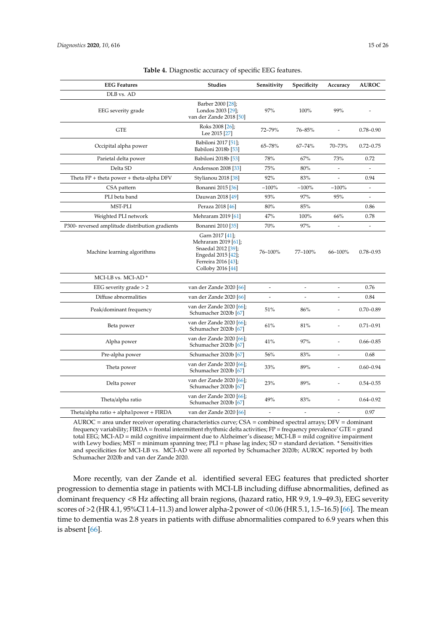<span id="page-14-0"></span>

| <b>EEG Features</b>                             | <b>Studies</b>                                                                                                                 | Sensitivity              | Specificity              | Accuracy       | <b>AUROC</b>             |
|-------------------------------------------------|--------------------------------------------------------------------------------------------------------------------------------|--------------------------|--------------------------|----------------|--------------------------|
| DLB vs. AD                                      |                                                                                                                                |                          |                          |                |                          |
| EEG severity grade                              | Barber 2000 [28];<br>Londos 2003 [29];<br>van der Zande 2018 [50]                                                              | 97%                      | 100%                     | 99%            |                          |
| <b>GTE</b>                                      | Roks 2008 [26];<br>Lee 2015 [27]                                                                                               | 72-79%                   | 76-85%                   |                | $0.78 - 0.90$            |
| Occipital alpha power                           | Babiloni 2017 [51];<br>Babiloni 2018b [53]                                                                                     | 65-78%                   | $67 - 74%$               | 70-73%         | $0.72 - 0.75$            |
| Parietal delta power                            | Babiloni 2018b [53]                                                                                                            | 78%                      | 67%                      | 73%            | 0.72                     |
| Delta SD                                        | Andersson 2008 [33]                                                                                                            | 75%                      | 80%                      |                |                          |
| Theta $FP + theta$ power $+ theta$ -alpha DFV   | Stylianou 2018 [38]                                                                                                            | 92%                      | 83%                      |                | 0.94                     |
| CSA pattern                                     | Bonanni 2015 [36]                                                                                                              | $~100\%$                 | $~100\%$                 | $~100\%$       | $\frac{1}{2}$            |
| PLI beta band                                   | Dauwan 2018 [49]                                                                                                               | 93%                      | 97%                      | 95%            | $\overline{\phantom{m}}$ |
| MST-PLI                                         | Peraza 2018 [46]                                                                                                               | 80%                      | 85%                      |                | 0.86                     |
| Weighted PLI network                            | Mehraram 2019 [61]                                                                                                             | 47%                      | 100%                     | 66%            | 0.78                     |
| P300- reversed amplitude distribution gradients | Bonanni 2010 [35]                                                                                                              | 70%                      | 97%                      |                | $\overline{a}$           |
| Machine learning algorithms                     | Garn 2017 [41];<br>Mehraram 2019 [61];<br>Snaedal 2012 [39];<br>Engedal 2015 [42];<br>Ferreira 2016 [43];<br>Colloby 2016 [44] | 76-100%                  | 77-100%                  | 66-100%        | $0.78 - 0.93$            |
| MCI-LB vs. MCI-AD*                              |                                                                                                                                |                          |                          |                |                          |
| EEG severity grade $> 2$                        | van der Zande 2020 [66]                                                                                                        | $\overline{\phantom{a}}$ | $\overline{a}$           |                | 0.76                     |
| Diffuse abnormalities                           | van der Zande 2020 [66]                                                                                                        |                          |                          |                | 0.84                     |
| Peak/dominant frequency                         | van der Zande 2020 [66];<br>Schumacher 2020b [67]                                                                              | 51%                      | 86%                      | ٠              | $0.70 - 0.89$            |
| Beta power                                      | van der Zande 2020 [66];<br>Schumacher 2020b [67]                                                                              | 61%                      | 81%                      | L.             | $0.71 - 0.91$            |
| Alpha power                                     | van der Zande 2020 [66];<br>Schumacher 2020b [67]                                                                              | 41%                      | 97%                      | $\overline{a}$ | $0.66 - 0.85$            |
| Pre-alpha power                                 | Schumacher 2020b [67]                                                                                                          | 56%                      | 83%                      |                | 0.68                     |
| Theta power                                     | van der Zande 2020 [66];<br>Schumacher 2020b [67]                                                                              | 33%                      | 89%                      | L.             | $0.60 - 0.94$            |
| Delta power                                     | van der Zande 2020 [66];<br>Schumacher 2020b [67]                                                                              | 23%                      | 89%                      |                | $0.54 - 0.55$            |
| Theta/alpha ratio                               | van der Zande 2020 [66];<br>Schumacher 2020b [67]                                                                              | 49%                      | 83%                      |                | $0.64 - 0.92$            |
| Theta/alpha ratio + alpha1power + FIRDA         | van der Zande 2020 [66]                                                                                                        | $\overline{\phantom{a}}$ | $\overline{\phantom{a}}$ | $\overline{a}$ | 0.97                     |

**Table 4.** Diagnostic accuracy of specific EEG features.

AUROC = area under receiver operating characteristics curve; CSA = combined spectral arrays; DFV = dominant frequency variability; FIRDA = frontal intermittent rhythmic delta activities; FP = frequency prevalence' GTE = grand total EEG; MCI-AD = mild cognitive impairment due to Alzheimer's disease; MCI-LB = mild cognitive impairment with Lewy bodies; MST = minimum spanning tree; PLI = phase lag index; SD = standard deviation. \* Sensitivities and specificities for MCI-LB vs. MCI-AD were all reported by Schumacher 2020b; AUROC reported by both Schumacher 2020b and van der Zande 2020.

More recently, van der Zande et al. identified several EEG features that predicted shorter progression to dementia stage in patients with MCI-LB including diffuse abnormalities, defined as dominant frequency <8 Hz affecting all brain regions, (hazard ratio, HR 9.9, 1.9–49.3), EEG severity scores of >2 (HR 4.1, 95%CI 1.4–11.3) and lower alpha-2 power of <0.06 (HR 5.1, 1.5–16.5) [\[66\]](#page-24-16). The mean time to dementia was 2.8 years in patients with diffuse abnormalities compared to 6.9 years when this is absent [\[66\]](#page-24-16).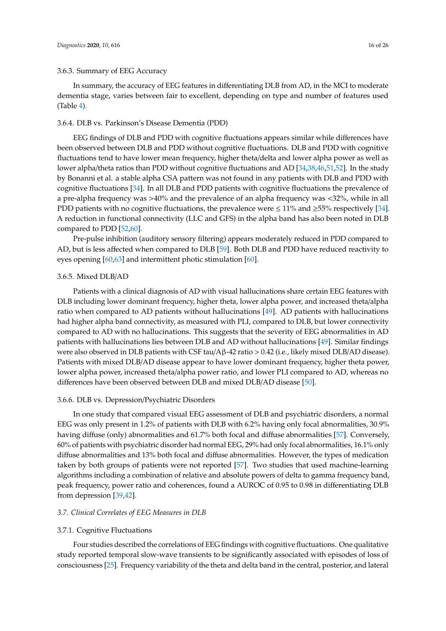#### 3.6.3. Summary of EEG Accuracy

In summary, the accuracy of EEG features in differentiating DLB from AD, in the MCI to moderate dementia stage, varies between fair to excellent, depending on type and number of features used (Table [4\)](#page-14-0).

#### 3.6.4. DLB vs. Parkinson's Disease Dementia (PDD)

EEG findings of DLB and PDD with cognitive fluctuations appears similar while differences have been observed between DLB and PDD without cognitive fluctuations. DLB and PDD with cognitive fluctuations tend to have lower mean frequency, higher theta/delta and lower alpha power as well as lower alpha/theta ratios than PDD without cognitive fluctuations and AD [\[34,](#page-22-14)[38](#page-22-25)[,46](#page-23-19)[,51,](#page-23-20)[52\]](#page-23-25). In the study by Bonanni et al. a stable alpha CSA pattern was not found in any patients with DLB and PDD with cognitive fluctuations [\[34\]](#page-22-14). In all DLB and PDD patients with cognitive fluctuations the prevalence of a pre-alpha frequency was >40% and the prevalence of an alpha frequency was <32%, while in all PDD patients with no cognitive fluctuations, the prevalence were  $\leq 11\%$  and  $\geq 55\%$  respectively [\[34\]](#page-22-14). A reduction in functional connectivity (LLC and GFS) in the alpha band has also been noted in DLB compared to PDD [\[52,](#page-23-25)[60\]](#page-24-19).

Pre-pulse inhibition (auditory sensory filtering) appears moderately reduced in PDD compared to AD, but is less affected when compared to DLB [\[59\]](#page-23-27). Both DLB and PDD have reduced reactivity to eyes opening [\[60](#page-24-19)[,63\]](#page-24-9) and intermittent photic stimulation [\[60\]](#page-24-19).

#### 3.6.5. Mixed DLB/AD

Patients with a clinical diagnosis of AD with visual hallucinations share certain EEG features with DLB including lower dominant frequency, higher theta, lower alpha power, and increased theta/alpha ratio when compared to AD patients without hallucinations [\[49\]](#page-23-16). AD patients with hallucinations had higher alpha band connectivity, as measured with PLI, compared to DLB, but lower connectivity compared to AD with no hallucinations. This suggests that the severity of EEG abnormalities in AD patients with hallucinations lies between DLB and AD without hallucinations [\[49\]](#page-23-16). Similar findings were also observed in DLB patients with CSF tau/Aβ-42 ratio > 0.42 (i.e., likely mixed DLB/AD disease). Patients with mixed DLB/AD disease appear to have lower dominant frequency, higher theta power, lower alpha power, increased theta/alpha power ratio, and lower PLI compared to AD, whereas no differences have been observed between DLB and mixed DLB/AD disease [\[50\]](#page-23-17).

#### 3.6.6. DLB vs. Depression/Psychiatric Disorders

In one study that compared visual EEG assessment of DLB and psychiatric disorders, a normal EEG was only present in 1.2% of patients with DLB with 6.2% having only focal abnormalities, 30.9% having diffuse (only) abnormalities and 61.7% both focal and diffuse abnormalities [\[57\]](#page-23-18). Conversely, 60% of patients with psychiatric disorder had normal EEG, 29% had only focal abnormalities, 16.1% only diffuse abnormalities and 13% both focal and diffuse abnormalities. However, the types of medication taken by both groups of patients were not reported [\[57\]](#page-23-18). Two studies that used machine-learning algorithms including a combination of relative and absolute powers of delta to gamma frequency band, peak frequency, power ratio and coherences, found a AUROC of 0.95 to 0.98 in differentiating DLB from depression [\[39,](#page-22-32)[42\]](#page-22-34).

#### *3.7. Clinical Correlates of EEG Measures in DLB*

#### 3.7.1. Cognitive Fluctuations

Four studies described the correlations of EEG findings with cognitive fluctuations. One qualitative study reported temporal slow-wave transients to be significantly associated with episodes of loss of consciousness [\[25\]](#page-21-17). Frequency variability of the theta and delta band in the central, posterior, and lateral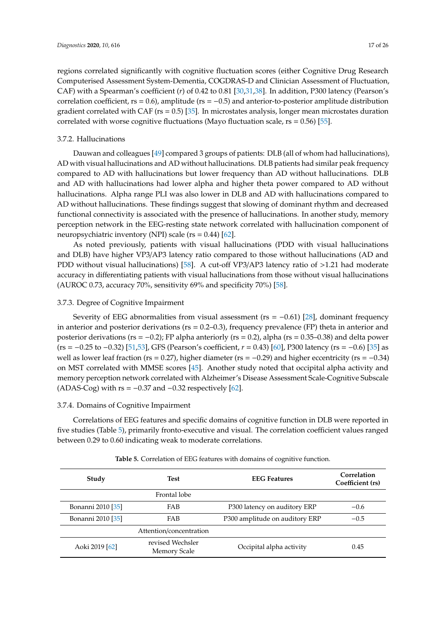regions correlated significantly with cognitive fluctuation scores (either Cognitive Drug Research Computerised Assessment System-Dementia, COGDRAS-D and Clinician Assessment of Fluctuation, CAF) with a Spearman's coefficient (*r*) of 0.42 to 0.81 [\[30](#page-22-28)[,31](#page-22-27)[,38\]](#page-22-25). In addition, P300 latency (Pearson's correlation coefficient,  $rs = 0.6$ ), amplitude ( $rs = -0.5$ ) and anterior-to-posterior amplitude distribution gradient correlated with CAF ( $rs = 0.5$ ) [\[35\]](#page-22-23). In microstates analysis, longer mean microstates duration correlated with worse cognitive fluctuations (Mayo fluctuation scale,  $rs = 0.56$ ) [\[55\]](#page-23-26).

#### 3.7.2. Hallucinations

Dauwan and colleagues [\[49\]](#page-23-16) compared 3 groups of patients: DLB (all of whom had hallucinations), AD with visual hallucinations and AD without hallucinations. DLB patients had similar peak frequency compared to AD with hallucinations but lower frequency than AD without hallucinations. DLB and AD with hallucinations had lower alpha and higher theta power compared to AD without hallucinations. Alpha range PLI was also lower in DLB and AD with hallucinations compared to AD without hallucinations. These findings suggest that slowing of dominant rhythm and decreased functional connectivity is associated with the presence of hallucinations. In another study, memory perception network in the EEG-resting state network correlated with hallucination component of neuropsychiatric inventory (NPI) scale ( $rs = 0.44$ ) [\[62\]](#page-24-20).

As noted previously, patients with visual hallucinations (PDD with visual hallucinations and DLB) have higher VP3/AP3 latency ratio compared to those without hallucinations (AD and PDD without visual hallucinations) [\[58\]](#page-23-28). A cut-off VP3/AP3 latency ratio of >1.21 had moderate accuracy in differentiating patients with visual hallucinations from those without visual hallucinations (AUROC 0.73, accuracy 70%, sensitivity 69% and specificity 70%) [\[58\]](#page-23-28).

#### 3.7.3. Degree of Cognitive Impairment

Severity of EEG abnormalities from visual assessment ( $rs = -0.61$ ) [\[28\]](#page-22-19), dominant frequency in anterior and posterior derivations ( $rs = 0.2$ –0.3), frequency prevalence (FP) theta in anterior and posterior derivations (rs =  $-0.2$ ); FP alpha anteriorly (rs = 0.2), alpha (rs = 0.35–0.38) and delta power (rs = −0.25 to −0.32) [\[51](#page-23-20)[,53\]](#page-23-21), GFS (Pearson's coefficient, *r* = 0.43) [\[60\]](#page-24-19), P300 latency (rs = −0.6) [\[35\]](#page-22-23) as well as lower leaf fraction (rs = 0.27), higher diameter (rs =  $-0.29$ ) and higher eccentricity (rs =  $-0.34$ ) on MST correlated with MMSE scores [\[45\]](#page-23-23). Another study noted that occipital alpha activity and memory perception network correlated with Alzheimer's Disease Assessment Scale-Cognitive Subscale (ADAS-Cog) with  $rs = -0.37$  and  $-0.32$  respectively [\[62\]](#page-24-20).

#### 3.7.4. Domains of Cognitive Impairment

Correlations of EEG features and specific domains of cognitive function in DLB were reported in five studies (Table [5\)](#page-17-0), primarily fronto-executive and visual. The correlation coefficient values ranged between 0.29 to 0.60 indicating weak to moderate correlations.

| Study             | <b>Test</b>                             | <b>EEG Features</b>            | Correlation<br>Coefficient (rs) |
|-------------------|-----------------------------------------|--------------------------------|---------------------------------|
|                   | Frontal lobe                            |                                |                                 |
| Bonanni 2010 [35] | <b>FAB</b>                              | P300 latency on auditory ERP   | $-0.6$                          |
| Bonanni 2010 [35] | <b>FAB</b>                              | P300 amplitude on auditory ERP | $-0.5$                          |
|                   | Attention/concentration                 |                                |                                 |
| Aoki 2019 [62]    | revised Wechsler<br><b>Memory Scale</b> | Occipital alpha activity       | 0.45                            |

**Table 5.** Correlation of EEG features with domains of cognitive function.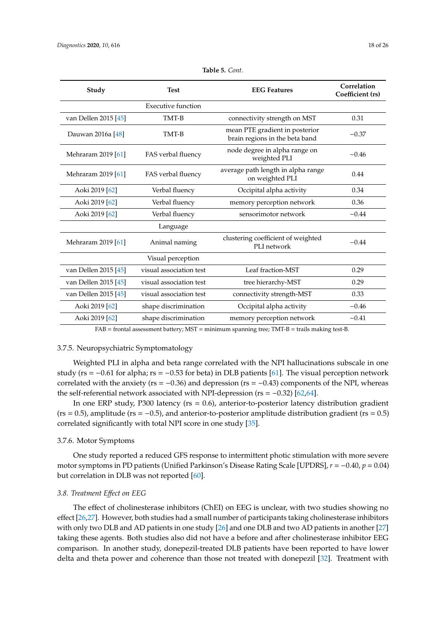<span id="page-17-0"></span>

| Study                | <b>Test</b>             | <b>EEG Features</b>                                              | Correlation<br>Coefficient (rs) |
|----------------------|-------------------------|------------------------------------------------------------------|---------------------------------|
|                      | Executive function      |                                                                  |                                 |
| van Dellen 2015 [45] | TMT-B                   | connectivity strength on MST                                     | 0.31                            |
| Dauwan 2016a [48]    | TMT-B                   | mean PTE gradient in posterior<br>brain regions in the beta band | $-0.37$                         |
| Mehraram 2019 [61]   | FAS verbal fluency      | node degree in alpha range on<br>weighted PLI                    | $-0.46$                         |
| Mehraram 2019 [61]   | FAS verbal fluency      | average path length in alpha range<br>on weighted PLI            | 0.44                            |
| Aoki 2019 [62]       | Verbal fluency          | Occipital alpha activity                                         | 0.34                            |
| Aoki 2019 [62]       | Verbal fluency          | memory perception network                                        | 0.36                            |
| Aoki 2019 [62]       | Verbal fluency          | sensorimotor network                                             | $-0.44$                         |
|                      | Language                |                                                                  |                                 |
| Mehraram 2019 [61]   | Animal naming           | clustering coefficient of weighted<br>PLI network                | $-0.44$                         |
|                      | Visual perception       |                                                                  |                                 |
| van Dellen 2015 [45] | visual association test | Leaf fraction-MST                                                | 0.29                            |
| van Dellen 2015 [45] | visual association test | tree hierarchy-MST                                               | 0.29                            |
| van Dellen 2015 [45] | visual association test | connectivity strength-MST                                        | 0.33                            |
| Aoki 2019 [62]       | shape discrimination    | Occipital alpha activity                                         | $-0.46$                         |
| Aoki 2019 [62]       | shape discrimination    | memory perception network                                        | $-0.41$                         |

| Table 5. Cont. |  |
|----------------|--|
|----------------|--|

FAB = frontal assessment battery; MST = minimum spanning tree; TMT-B = trails making test-B.

#### 3.7.5. Neuropsychiatric Symptomatology

Weighted PLI in alpha and beta range correlated with the NPI hallucinations subscale in one study ( $rs = -0.61$  for alpha;  $rs = -0.53$  for beta) in DLB patients [\[61\]](#page-24-14). The visual perception network correlated with the anxiety ( $rs = -0.36$ ) and depression ( $rs = -0.43$ ) components of the NPI, whereas the self-referential network associated with NPI-depression ( $rs = -0.32$ ) [\[62,](#page-24-20)[64\]](#page-24-8).

In one ERP study, P300 latency ( $rs = 0.6$ ), anterior-to-posterior latency distribution gradient  $(rs = 0.5)$ , amplitude  $(rs = -0.5)$ , and anterior-to-posterior amplitude distribution gradient  $(rs = 0.5)$ correlated significantly with total NPI score in one study [\[35\]](#page-22-23).

## 3.7.6. Motor Symptoms

One study reported a reduced GFS response to intermittent photic stimulation with more severe motor symptoms in PD patients (Unified Parkinson's Disease Rating Scale [UPDRS], *r* = −0.40, *p* = 0.04) but correlation in DLB was not reported [\[60\]](#page-24-19).

## *3.8. Treatment E*ff*ect on EEG*

The effect of cholinesterase inhibitors (ChEI) on EEG is unclear, with two studies showing no effect [\[26](#page-22-20)[,27\]](#page-22-21). However, both studies had a small number of participants taking cholinesterase inhibitors with only two DLB and AD patients in one study [\[26\]](#page-22-20) and one DLB and two AD patients in another [\[27\]](#page-22-21) taking these agents. Both studies also did not have a before and after cholinesterase inhibitor EEG comparison. In another study, donepezil-treated DLB patients have been reported to have lower delta and theta power and coherence than those not treated with donepezil [\[32\]](#page-22-29). Treatment with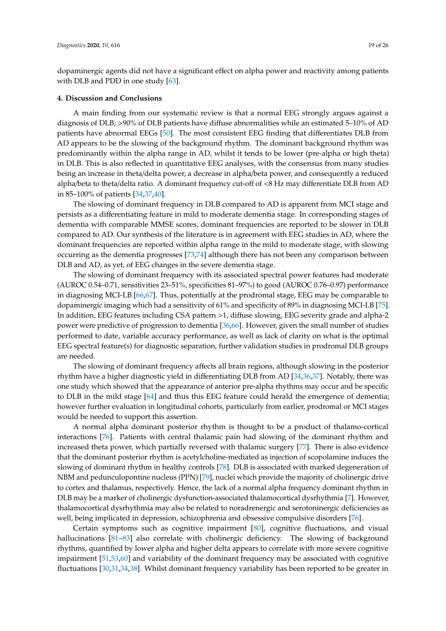dopaminergic agents did not have a significant effect on alpha power and reactivity among patients with DLB and PDD in one study [\[63\]](#page-24-9).

#### **4. Discussion and Conclusions**

A main finding from our systematic review is that a normal EEG strongly argues against a diagnosis of DLB; >90% of DLB patients have diffuse abnormalities while an estimated 5–10% of AD patients have abnormal EEGs [\[50\]](#page-23-17). The most consistent EEG finding that differentiates DLB from AD appears to be the slowing of the background rhythm. The dominant background rhythm was predominantly within the alpha range in AD, whilst it tends to be lower (pre-alpha or high theta) in DLB. This is also reflected in quantitative EEG analyses, with the consensus from many studies being an increase in theta/delta power, a decrease in alpha/beta power, and consequently a reduced alpha/beta to theta/delta ratio. A dominant frequency cut-off of <8 Hz may differentiate DLB from AD in 85–100% of patients [\[34,](#page-22-14)[37,](#page-22-24)[40\]](#page-22-26).

The slowing of dominant frequency in DLB compared to AD is apparent from MCI stage and persists as a differentiating feature in mild to moderate dementia stage. In corresponding stages of dementia with comparable MMSE scores, dominant frequencies are reported to be slower in DLB compared to AD. Our synthesis of the literature is in agreement with EEG studies in AD, where the dominant frequencies are reported within alpha range in the mild to moderate stage, with slowing occurring as the dementia progresses [\[73,](#page-24-21)[74\]](#page-24-22) although there has not been any comparison between DLB and AD, as yet, of EEG changes in the severe dementia stage.

The slowing of dominant frequency with its associated spectral power features had moderate (AUROC 0.54–0.71, sensitivities 23–51%, specificities 81–97%) to good (AUROC 0.76–0.97) performance in diagnosing MCI-LB [\[66](#page-24-16)[,67\]](#page-24-18). Thus, potentially at the prodromal stage, EEG may be comparable to dopaminergic imaging which had a sensitivity of 61% and specificity of 89% in diagnosing MCI-LB [\[75\]](#page-24-23). In addition, EEG features including CSA pattern >1, diffuse slowing, EEG severity grade and alpha-2 power were predictive of progression to dementia [\[36,](#page-22-30)[66\]](#page-24-16). However, given the small number of studies performed to date, variable accuracy performance, as well as lack of clarity on what is the optimal EEG spectral feature(s) for diagnostic separation, further validation studies in prodromal DLB groups are needed.

The slowing of dominant frequency affects all brain regions, although slowing in the posterior rhythm have a higher diagnostic yield in differentiating DLB from AD [\[34,](#page-22-14)[36,](#page-22-30)[37\]](#page-22-24). Notably, there was one study which showed that the appearance of anterior pre-alpha rhythms may occur and be specific to DLB in the mild stage [\[64\]](#page-24-8) and thus this EEG feature could herald the emergence of dementia; however further evaluation in longitudinal cohorts, particularly from earlier, prodromal or MCI stages would be needed to support this assertion.

A normal alpha dominant posterior rhythm is thought to be a product of thalamo-cortical interactions [\[76\]](#page-24-24). Patients with central thalamic pain had slowing of the dominant rhythm and increased theta power, which partially reversed with thalamic surgery [\[77\]](#page-24-25). There is also evidence that the dominant posterior rhythm is acetylcholine-mediated as injection of scopolamine induces the slowing of dominant rhythm in healthy controls [\[78\]](#page-24-26). DLB is associated with marked degeneration of NBM and pedunculopontine nucleus (PPN) [\[79\]](#page-25-0), nuclei which provide the majority of cholinergic drive to cortex and thalamus, respectively. Hence, the lack of a normal alpha frequency dominant rhythm in DLB may be a marker of cholinergic dysfunction-associated thalamocortical dysrhythmia [\[7\]](#page-21-1). However, thalamocortical dysrhythmia may also be related to noradrenergic and serotoninergic deficiencies as well, being implicated in depression, schizophrenia and obsessive compulsive disorders [\[76\]](#page-24-24).

Certain symptoms such as cognitive impairment [\[80\]](#page-25-1), cognitive fluctuations, and visual hallucinations [\[81](#page-25-2)[–83\]](#page-25-3) also correlate with cholinergic deficiency. The slowing of background rhythms, quantified by lower alpha and higher delta appears to correlate with more severe cognitive impairment [\[51](#page-23-20)[,53](#page-23-21)[,60\]](#page-24-19) and variability of the dominant frequency may be associated with cognitive fluctuations [\[30](#page-22-28)[,31](#page-22-27)[,34](#page-22-14)[,38\]](#page-22-25). Whilst dominant frequency variability has been reported to be greater in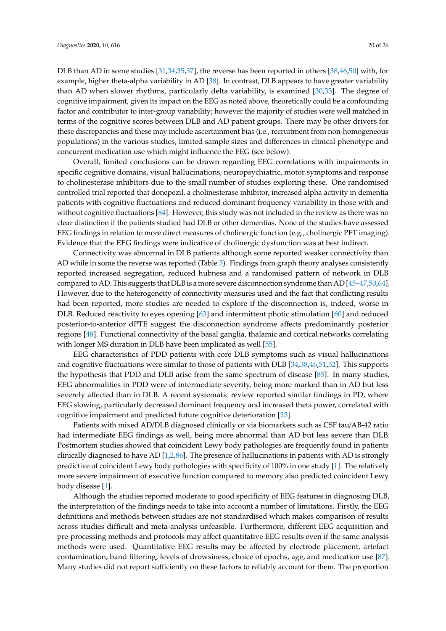DLB than AD in some studies [\[31,](#page-22-27)[34](#page-22-14)[,35](#page-22-23)[,37\]](#page-22-24), the reverse has been reported in others [\[38](#page-22-25)[,46](#page-23-19)[,50\]](#page-23-17) with, for example, higher theta-alpha variability in AD [\[38\]](#page-22-25). In contrast, DLB appears to have greater variability than AD when slower rhythms, particularly delta variability, is examined [\[30](#page-22-28)[,33\]](#page-22-22). The degree of cognitive impairment, given its impact on the EEG as noted above, theoretically could be a confounding factor and contributor to inter-group variability; however the majority of studies were well matched in terms of the cognitive scores between DLB and AD patient groups. There may be other drivers for these discrepancies and these may include ascertainment bias (i.e., recruitment from non-homogeneous populations) in the various studies, limited sample sizes and differences in clinical phenotype and concurrent medication use which might influence the EEG (see below).

Overall, limited conclusions can be drawn regarding EEG correlations with impairments in specific cognitive domains, visual hallucinations, neuropsychiatric, motor symptoms and response to cholinesterase inhibitors due to the small number of studies exploring these. One randomised controlled trial reported that donepezil, a cholinesterase inhibitor, increased alpha activity in dementia patients with cognitive fluctuations and reduced dominant frequency variability in those with and without cognitive fluctuations [\[84\]](#page-25-4). However, this study was not included in the review as there was no clear distinction if the patients studied had DLB or other dementias. None of the studies have assessed EEG findings in relation to more direct measures of cholinergic function (e.g., cholinergic PET imaging). Evidence that the EEG findings were indicative of cholinergic dysfunction was at best indirect.

Connectivity was abnormal in DLB patients although some reported weaker connectivity than AD while in some the reverse was reported (Table [3\)](#page-12-0). Findings from graph theory analyses consistently reported increased segregation, reduced hubness and a randomised pattern of network in DLB compared to AD. This suggests that DLB is a more severe disconnection syndrome than AD [\[45](#page-23-23)[–47](#page-23-9)[,50](#page-23-17)[,64\]](#page-24-8). However, due to the heterogeneity of connectivity measures used and the fact that conflicting results had been reported, more studies are needed to explore if the disconnection is, indeed, worse in DLB. Reduced reactivity to eyes opening [\[63\]](#page-24-9) and intermittent photic stimulation [\[60\]](#page-24-19) and reduced posterior-to-anterior dPTE suggest the disconnection syndrome affects predominantly posterior regions [\[48\]](#page-23-24). Functional connectivity of the basal ganglia, thalamic and cortical networks correlating with longer MS duration in DLB have been implicated as well [\[55\]](#page-23-26).

EEG characteristics of PDD patients with core DLB symptoms such as visual hallucinations and cognitive fluctuations were similar to those of patients with DLB [\[34](#page-22-14)[,38](#page-22-25)[,46](#page-23-19)[,51](#page-23-20)[,52\]](#page-23-25). This supports the hypothesis that PDD and DLB arise from the same spectrum of disease [\[85\]](#page-25-5). In many studies, EEG abnormalities in PDD were of intermediate severity, being more marked than in AD but less severely affected than in DLB. A recent systematic review reported similar findings in PD, where EEG slowing, particularly decreased dominant frequency and increased theta power, correlated with cognitive impairment and predicted future cognitive deterioration [\[23\]](#page-21-15).

Patients with mixed AD/DLB diagnosed clinically or via biomarkers such as CSF tau/AB-42 ratio had intermediate EEG findings as well, being more abnormal than AD but less severe than DLB. Postmortem studies showed that coincident Lewy body pathologies are frequently found in patients clinically diagnosed to have AD [\[1,](#page-20-0)[2,](#page-20-1)[86\]](#page-25-6). The presence of hallucinations in patients with AD is strongly predictive of coincident Lewy body pathologies with specificity of 100% in one study [\[1\]](#page-20-0). The relatively more severe impairment of executive function compared to memory also predicted coincident Lewy body disease [\[1\]](#page-20-0).

Although the studies reported moderate to good specificity of EEG features in diagnosing DLB, the interpretation of the findings needs to take into account a number of limitations. Firstly, the EEG definitions and methods between studies are not standardised which makes comparison of results across studies difficult and meta-analysis unfeasible. Furthermore, different EEG acquisition and pre-processing methods and protocols may affect quantitative EEG results even if the same analysis methods were used. Quantitative EEG results may be affected by electrode placement, artefact contamination, band filtering, levels of drowsiness, choice of epochs, age, and medication use [\[87\]](#page-25-7). Many studies did not report sufficiently on these factors to reliably account for them. The proportion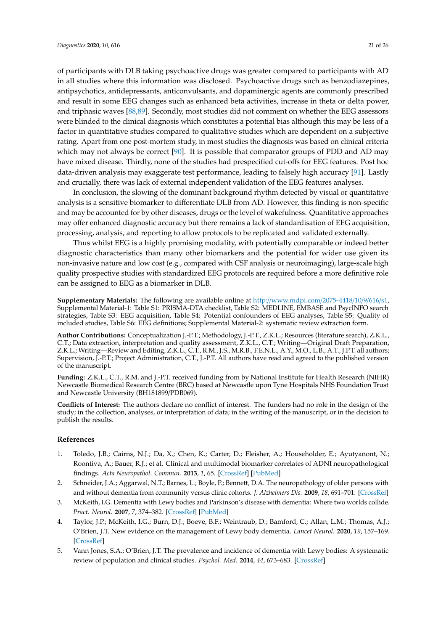of participants with DLB taking psychoactive drugs was greater compared to participants with AD in all studies where this information was disclosed. Psychoactive drugs such as benzodiazepines, antipsychotics, antidepressants, anticonvulsants, and dopaminergic agents are commonly prescribed and result in some EEG changes such as enhanced beta activities, increase in theta or delta power, and triphasic waves [\[88](#page-25-8)[,89\]](#page-25-9). Secondly, most studies did not comment on whether the EEG assessors were blinded to the clinical diagnosis which constitutes a potential bias although this may be less of a factor in quantitative studies compared to qualitative studies which are dependent on a subjective rating. Apart from one post-mortem study, in most studies the diagnosis was based on clinical criteria which may not always be correct  $[90]$ . It is possible that comparator groups of PDD and AD may have mixed disease. Thirdly, none of the studies had prespecified cut-offs for EEG features. Post hoc

In conclusion, the slowing of the dominant background rhythm detected by visual or quantitative analysis is a sensitive biomarker to differentiate DLB from AD. However, this finding is non-specific and may be accounted for by other diseases, drugs or the level of wakefulness. Quantitative approaches may offer enhanced diagnostic accuracy but there remains a lack of standardisation of EEG acquisition, processing, analysis, and reporting to allow protocols to be replicated and validated externally.

data-driven analysis may exaggerate test performance, leading to falsely high accuracy [\[91\]](#page-25-11). Lastly

and crucially, there was lack of external independent validation of the EEG features analyses.

Thus whilst EEG is a highly promising modality, with potentially comparable or indeed better diagnostic characteristics than many other biomarkers and the potential for wider use given its non-invasive nature and low cost (e.g., compared with CSF analysis or neuroimaging), large-scale high quality prospective studies with standardized EEG protocols are required before a more definitive role can be assigned to EEG as a biomarker in DLB.

**Supplementary Materials:** The following are available online at http://[www.mdpi.com](http://www.mdpi.com/2075-4418/10/9/616/s1)/2075-4418/10/9/616/s1, Supplemental Material-1: Table S1: PRISMA-DTA checklist, Table S2: MEDLINE, EMBASE and PsycINFO search strategies, Table S3: EEG acquisition, Table S4: Potential confounders of EEG analyses, Table S5: Quality of included studies, Table S6: EEG definitions; Supplemental Material-2: systematic review extraction form.

**Author Contributions:** Conceptualization J.-P.T.; Methodology, J.-P.T., Z.K.L.; Resources (literature search), Z.K.L., C.T.; Data extraction, interpretation and quality assessment, Z.K.L., C.T.; Writing—Original Draft Preparation, Z.K.L.; Writing—Review and Editing, Z.K.L., C.T., R.M., J.S., M.R.B., F.E.N.L., A.Y., M.O., L.B., A.T., J.P.T. all authors; Supervision, J.-P.T.; Project Administration, C.T., J.-P.T. All authors have read and agreed to the published version of the manuscript.

**Funding:** Z.K.L., C.T., R.M. and J.-P.T. received funding from by National Institute for Health Research (NIHR) Newcastle Biomedical Research Centre (BRC) based at Newcastle upon Tyne Hospitals NHS Foundation Trust and Newcastle University (BH181899/PDB069).

**Conflicts of Interest:** The authors declare no conflict of interest. The funders had no role in the design of the study; in the collection, analyses, or interpretation of data; in the writing of the manuscript, or in the decision to publish the results.

#### **References**

- <span id="page-20-0"></span>1. Toledo, J.B.; Cairns, N.J.; Da, X.; Chen, K.; Carter, D.; Fleisher, A.; Householder, E.; Ayutyanont, N.; Roontiva, A.; Bauer, R.J.; et al. Clinical and multimodal biomarker correlates of ADNI neuropathological findings. *Acta Neuropathol. Commun.* **2013**, *1*, 65. [\[CrossRef\]](http://dx.doi.org/10.1186/2051-5960-1-65) [\[PubMed\]](http://www.ncbi.nlm.nih.gov/pubmed/24252435)
- <span id="page-20-1"></span>2. Schneider, J.A.; Aggarwal, N.T.; Barnes, L.; Boyle, P.; Bennett, D.A. The neuropathology of older persons with and without dementia from community versus clinic cohorts. *J. Alzheimers Dis.* **2009**, *18*, 691–701. [\[CrossRef\]](http://dx.doi.org/10.3233/JAD-2009-1227)
- <span id="page-20-2"></span>3. McKeith, I.G. Dementia with Lewy bodies and Parkinson's disease with dementia: Where two worlds collide. *Pract. Neurol.* **2007**, *7*, 374–382. [\[CrossRef\]](http://dx.doi.org/10.1136/jnnp.2007.134163) [\[PubMed\]](http://www.ncbi.nlm.nih.gov/pubmed/18024777)
- <span id="page-20-3"></span>4. Taylor, J.P.; McKeith, I.G.; Burn, D.J.; Boeve, B.F.; Weintraub, D.; Bamford, C.; Allan, L.M.; Thomas, A.J.; O'Brien, J.T. New evidence on the management of Lewy body dementia. *Lancet Neurol.* **2020**, *19*, 157–169. [\[CrossRef\]](http://dx.doi.org/10.1016/S1474-4422(19)30153-X)
- <span id="page-20-4"></span>5. Vann Jones, S.A.; O'Brien, J.T. The prevalence and incidence of dementia with Lewy bodies: A systematic review of population and clinical studies. *Psychol. Med.* **2014**, *44*, 673–683. [\[CrossRef\]](http://dx.doi.org/10.1017/S0033291713000494)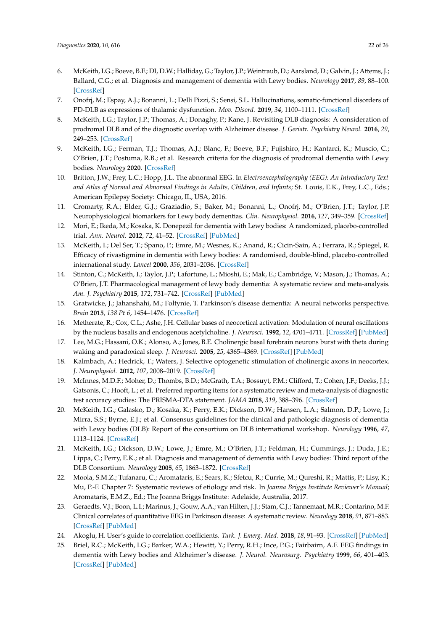- <span id="page-21-0"></span>6. McKeith, I.G.; Boeve, B.F.; DI, D.W.; Halliday, G.; Taylor, J.P.; Weintraub, D.; Aarsland, D.; Galvin, J.; Attems, J.; Ballard, C.G.; et al. Diagnosis and management of dementia with Lewy bodies. *Neurology* **2017**, *89*, 88–100. [\[CrossRef\]](http://dx.doi.org/10.1212/WNL.0000000000004058)
- <span id="page-21-1"></span>7. Onofrj, M.; Espay, A.J.; Bonanni, L.; Delli Pizzi, S.; Sensi, S.L. Hallucinations, somatic-functional disorders of PD-DLB as expressions of thalamic dysfunction. *Mov. Disord.* **2019**, *34*, 1100–1111. [\[CrossRef\]](http://dx.doi.org/10.1002/mds.27781)
- <span id="page-21-2"></span>8. McKeith, I.G.; Taylor, J.P.; Thomas, A.; Donaghy, P.; Kane, J. Revisiting DLB diagnosis: A consideration of prodromal DLB and of the diagnostic overlap with Alzheimer disease. *J. Geriatr. Psychiatry Neurol.* **2016**, *29*, 249–253. [\[CrossRef\]](http://dx.doi.org/10.1177/0891988716656083)
- <span id="page-21-3"></span>9. McKeith, I.G.; Ferman, T.J.; Thomas, A.J.; Blanc, F.; Boeve, B.F.; Fujishiro, H.; Kantarci, K.; Muscio, C.; O'Brien, J.T.; Postuma, R.B.; et al. Research criteria for the diagnosis of prodromal dementia with Lewy bodies. *Neurology* **2020**. [\[CrossRef\]](http://dx.doi.org/10.1212/WNL.0000000000009323)
- <span id="page-21-4"></span>10. Britton, J.W.; Frey, L.C.; Hopp, J.L. The abnormal EEG. In *Electroencephalography (EEG): An Introductory Text and Atlas of Normal and Abnormal Findings in Adults, Children, and Infants*; St. Louis, E.K., Frey, L.C., Eds.; American Epilepsy Society: Chicago, IL, USA, 2016.
- <span id="page-21-5"></span>11. Cromarty, R.A.; Elder, G.J.; Graziadio, S.; Baker, M.; Bonanni, L.; Onofrj, M.; O'Brien, J.T.; Taylor, J.P. Neurophysiological biomarkers for Lewy body dementias. *Clin. Neurophysiol.* **2016**, *127*, 349–359. [\[CrossRef\]](http://dx.doi.org/10.1016/j.clinph.2015.06.020)
- <span id="page-21-6"></span>12. Mori, E.; Ikeda, M.; Kosaka, K. Donepezil for dementia with Lewy bodies: A randomized, placebo-controlled trial. *Ann. Neurol.* **2012**, *72*, 41–52. [\[CrossRef\]](http://dx.doi.org/10.1002/ana.23557) [\[PubMed\]](http://www.ncbi.nlm.nih.gov/pubmed/22829268)
- 13. McKeith, I.; Del Ser, T.; Spano, P.; Emre, M.; Wesnes, K.; Anand, R.; Cicin-Sain, A.; Ferrara, R.; Spiegel, R. Efficacy of rivastigmine in dementia with Lewy bodies: A randomised, double-blind, placebo-controlled international study. *Lancet* **2000**, *356*, 2031–2036. [\[CrossRef\]](http://dx.doi.org/10.1016/S0140-6736(00)03399-7)
- <span id="page-21-7"></span>14. Stinton, C.; McKeith, I.; Taylor, J.P.; Lafortune, L.; Mioshi, E.; Mak, E.; Cambridge, V.; Mason, J.; Thomas, A.; O'Brien, J.T. Pharmacological management of lewy body dementia: A systematic review and meta-analysis. *Am. J. Psychiatry* **2015**, *172*, 731–742. [\[CrossRef\]](http://dx.doi.org/10.1176/appi.ajp.2015.14121582) [\[PubMed\]](http://www.ncbi.nlm.nih.gov/pubmed/26085043)
- <span id="page-21-8"></span>15. Gratwicke, J.; Jahanshahi, M.; Foltynie, T. Parkinson's disease dementia: A neural networks perspective. *Brain* **2015**, *138 Pt 6*, 1454–1476. [\[CrossRef\]](http://dx.doi.org/10.1093/brain/awv104)
- <span id="page-21-9"></span>16. Metherate, R.; Cox, C.L.; Ashe, J.H. Cellular bases of neocortical activation: Modulation of neural oscillations by the nucleus basalis and endogenous acetylcholine. *J. Neurosci.* **1992**, *12*, 4701–4711. [\[CrossRef\]](http://dx.doi.org/10.1523/JNEUROSCI.12-12-04701.1992) [\[PubMed\]](http://www.ncbi.nlm.nih.gov/pubmed/1361197)
- 17. Lee, M.G.; Hassani, O.K.; Alonso, A.; Jones, B.E. Cholinergic basal forebrain neurons burst with theta during waking and paradoxical sleep. *J. Neurosci.* **2005**, *25*, 4365–4369. [\[CrossRef\]](http://dx.doi.org/10.1523/JNEUROSCI.0178-05.2005) [\[PubMed\]](http://www.ncbi.nlm.nih.gov/pubmed/15858062)
- <span id="page-21-10"></span>18. Kalmbach, A.; Hedrick, T.; Waters, J. Selective optogenetic stimulation of cholinergic axons in neocortex. *J. Neurophysiol.* **2012**, *107*, 2008–2019. [\[CrossRef\]](http://dx.doi.org/10.1152/jn.00870.2011)
- <span id="page-21-11"></span>19. McInnes, M.D.F.; Moher, D.; Thombs, B.D.; McGrath, T.A.; Bossuyt, P.M.; Clifford, T.; Cohen, J.F.; Deeks, J.J.; Gatsonis, C.; Hooft, L.; et al. Preferred reporting items for a systematic review and meta-analysis of diagnostic test accuracy studies: The PRISMA-DTA statement. *JAMA* **2018**, *319*, 388–396. [\[CrossRef\]](http://dx.doi.org/10.1001/jama.2017.19163)
- <span id="page-21-12"></span>20. McKeith, I.G.; Galasko, D.; Kosaka, K.; Perry, E.K.; Dickson, D.W.; Hansen, L.A.; Salmon, D.P.; Lowe, J.; Mirra, S.S.; Byrne, E.J.; et al. Consensus guidelines for the clinical and pathologic diagnosis of dementia with Lewy bodies (DLB): Report of the consortium on DLB international workshop. *Neurology* **1996**, *47*, 1113–1124. [\[CrossRef\]](http://dx.doi.org/10.1212/WNL.47.5.1113)
- <span id="page-21-13"></span>21. McKeith, I.G.; Dickson, D.W.; Lowe, J.; Emre, M.; O'Brien, J.T.; Feldman, H.; Cummings, J.; Duda, J.E.; Lippa, C.; Perry, E.K.; et al. Diagnosis and management of dementia with Lewy bodies: Third report of the DLB Consortium. *Neurology* **2005**, *65*, 1863–1872. [\[CrossRef\]](http://dx.doi.org/10.1212/01.wnl.0000187889.17253.b1)
- <span id="page-21-14"></span>22. Moola, S.M.Z.; Tufanaru, C.; Aromataris, E.; Sears, K.; Sfetcu, R.; Currie, M.; Qureshi, R.; Mattis, P.; Lisy, K.; Mu, P.-F. Chapter 7: Systematic reviews of etiology and risk. In *Joanna Briggs Institute Reviewer's Manual*; Aromataris, E.M.Z., Ed.; The Joanna Briggs Institute: Adelaide, Australia, 2017.
- <span id="page-21-15"></span>23. Geraedts, V.J.; Boon, L.I.; Marinus, J.; Gouw, A.A.; van Hilten, J.J.; Stam, C.J.; Tannemaat, M.R.; Contarino, M.F. Clinical correlates of quantitative EEG in Parkinson disease: A systematic review. *Neurology* **2018**, *91*, 871–883. [\[CrossRef\]](http://dx.doi.org/10.1212/WNL.0000000000006473) [\[PubMed\]](http://www.ncbi.nlm.nih.gov/pubmed/30291182)
- <span id="page-21-16"></span>24. Akoglu, H. User's guide to correlation coefficients. *Turk. J. Emerg. Med.* **2018**, *18*, 91–93. [\[CrossRef\]](http://dx.doi.org/10.1016/j.tjem.2018.08.001) [\[PubMed\]](http://www.ncbi.nlm.nih.gov/pubmed/30191186)
- <span id="page-21-17"></span>25. Briel, R.C.; McKeith, I.G.; Barker, W.A.; Hewitt, Y.; Perry, R.H.; Ince, P.G.; Fairbairn, A.F. EEG findings in dementia with Lewy bodies and Alzheimer's disease. *J. Neurol. Neurosurg. Psychiatry* **1999**, *66*, 401–403. [\[CrossRef\]](http://dx.doi.org/10.1136/jnnp.66.3.401) [\[PubMed\]](http://www.ncbi.nlm.nih.gov/pubmed/10084544)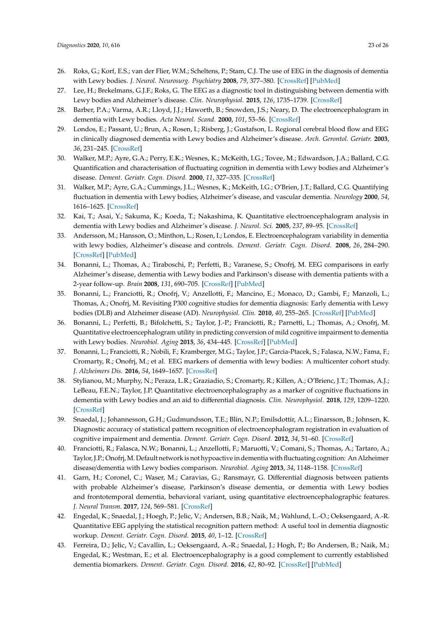- <span id="page-22-20"></span><span id="page-22-8"></span><span id="page-22-7"></span><span id="page-22-6"></span><span id="page-22-5"></span><span id="page-22-4"></span><span id="page-22-3"></span><span id="page-22-2"></span><span id="page-22-1"></span><span id="page-22-0"></span>26. Roks, G.; Korf, E.S.; van der Flier, W.M.; Scheltens, P.; Stam, C.J. The use of EEG in the diagnosis of dementia with Lewy bodies. *J. Neurol. Neurosurg. Psychiatry* **2008**, *79*, 377–380. [\[CrossRef\]](http://dx.doi.org/10.1136/jnnp.2007.125385) [\[PubMed\]](http://www.ncbi.nlm.nih.gov/pubmed/17682010)
- <span id="page-22-21"></span>27. Lee, H.; Brekelmans, G.J.F.; Roks, G. The EEG as a diagnostic tool in distinguishing between dementia with Lewy bodies and Alzheimer's disease. *Clin. Neurophysiol.* **2015**, *126*, 1735–1739. [\[CrossRef\]](http://dx.doi.org/10.1016/j.clinph.2014.11.021)
- <span id="page-22-19"></span><span id="page-22-9"></span>28. Barber, P.A.; Varma, A.R.; Lloyd, J.J.; Haworth, B.; Snowden, J.S.; Neary, D. The electroencephalogram in dementia with Lewy bodies. *Acta Neurol. Scand.* **2000**, *101*, 53–56. [\[CrossRef\]](http://dx.doi.org/10.1034/j.1600-0404.2000.00006.x)
- <span id="page-22-18"></span><span id="page-22-10"></span>29. Londos, E.; Passant, U.; Brun, A.; Rosen, I.; Risberg, J.; Gustafson, L. Regional cerebral blood flow and EEG in clinically diagnosed dementia with Lewy bodies and Alzheimer's disease. *Arch. Gerontol. Geriatr.* **2003**, *36*, 231–245. [\[CrossRef\]](http://dx.doi.org/10.1016/S0167-4943(02)00168-1)
- <span id="page-22-28"></span><span id="page-22-11"></span>30. Walker, M.P.; Ayre, G.A.; Perry, E.K.; Wesnes, K.; McKeith, I.G.; Tovee, M.; Edwardson, J.A.; Ballard, C.G. Quantification and characterisation of fluctuating cognition in dementia with Lewy bodies and Alzheimer's disease. *Dement. Geriatr. Cogn. Disord.* **2000**, *11*, 327–335. [\[CrossRef\]](http://dx.doi.org/10.1159/000017262)
- <span id="page-22-27"></span><span id="page-22-12"></span>31. Walker, M.P.; Ayre, G.A.; Cummings, J.L.; Wesnes, K.; McKeith, I.G.; O'Brien, J.T.; Ballard, C.G. Quantifying fluctuation in dementia with Lewy bodies, Alzheimer's disease, and vascular dementia. *Neurology* **2000**, *54*, 1616–1625. [\[CrossRef\]](http://dx.doi.org/10.1212/WNL.54.8.1616)
- <span id="page-22-29"></span>32. Kai, T.; Asai, Y.; Sakuma, K.; Koeda, T.; Nakashima, K. Quantitative electroencephalogram analysis in dementia with Lewy bodies and Alzheimer's disease. *J. Neurol. Sci.* **2005**, *237*, 89–95. [\[CrossRef\]](http://dx.doi.org/10.1016/j.jns.2005.05.017)
- <span id="page-22-22"></span><span id="page-22-13"></span>33. Andersson, M.; Hansson, O.; Minthon, L.; Rosen, I.; Londos, E. Electroencephalogram variability in dementia with lewy bodies, Alzheimer's disease and controls. *Dement. Geriatr. Cogn. Disord.* **2008**, *26*, 284–290. [\[CrossRef\]](http://dx.doi.org/10.1159/000160962) [\[PubMed\]](http://www.ncbi.nlm.nih.gov/pubmed/18841014)
- <span id="page-22-14"></span>34. Bonanni, L.; Thomas, A.; Tiraboschi, P.; Perfetti, B.; Varanese, S.; Onofrj, M. EEG comparisons in early Alzheimer's disease, dementia with Lewy bodies and Parkinson's disease with dementia patients with a 2-year follow-up. *Brain* **2008**, *131*, 690–705. [\[CrossRef\]](http://dx.doi.org/10.1093/brain/awm322) [\[PubMed\]](http://www.ncbi.nlm.nih.gov/pubmed/18202105)
- <span id="page-22-23"></span><span id="page-22-15"></span>35. Bonanni, L.; Franciotti, R.; Onofrj, V.; Anzellotti, F.; Mancino, E.; Monaco, D.; Gambi, F.; Manzoli, L.; Thomas, A.; Onofrj, M. Revisiting P300 cognitive studies for dementia diagnosis: Early dementia with Lewy bodies (DLB) and Alzheimer disease (AD). *Neurophysiol. Clin.* **2010**, *40*, 255–265. [\[CrossRef\]](http://dx.doi.org/10.1016/j.neucli.2010.08.001) [\[PubMed\]](http://www.ncbi.nlm.nih.gov/pubmed/21093797)
- <span id="page-22-30"></span><span id="page-22-16"></span>36. Bonanni, L.; Perfetti, B.; Bifolchetti, S.; Taylor, J.-P.; Franciotti, R.; Parnetti, L.; Thomas, A.; Onofrj, M. Quantitative electroencephalogram utility in predicting conversion of mild cognitive impairment to dementia with Lewy bodies. *Neurobiol. Aging* **2015**, *36*, 434–445. [\[CrossRef\]](http://dx.doi.org/10.1016/j.neurobiolaging.2014.07.009) [\[PubMed\]](http://www.ncbi.nlm.nih.gov/pubmed/25129239)
- <span id="page-22-24"></span><span id="page-22-17"></span>37. Bonanni, L.; Franciotti, R.; Nobili, F.; Kramberger, M.G.; Taylor, J.P.; Garcia-Ptacek, S.; Falasca, N.W.; Fama, F.; Cromarty, R.; Onofrj, M.; et al. EEG markers of dementia with lewy bodies: A multicenter cohort study. *J. Alzheimers Dis.* **2016**, *54*, 1649–1657. [\[CrossRef\]](http://dx.doi.org/10.3233/JAD-160435)
- <span id="page-22-25"></span>38. Stylianou, M.; Murphy, N.; Peraza, L.R.; Graziadio, S.; Cromarty, R.; Killen, A.; O'Brienc, J.T.; Thomas, A.J.; LeBeau, F.E.N.; Taylor, J.P. Quantitative electroencephalography as a marker of cognitive fluctuations in dementia with Lewy bodies and an aid to differential diagnosis. *Clin. Neurophysiol.* **2018**, *129*, 1209–1220. [\[CrossRef\]](http://dx.doi.org/10.1016/j.clinph.2018.03.013)
- <span id="page-22-32"></span>39. Snaedal, J.; Johannesson, G.H.; Gudmundsson, T.E.; Blin, N.P.; Emilsdottir, A.L.; Einarsson, B.; Johnsen, K. Diagnostic accuracy of statistical pattern recognition of electroencephalogram registration in evaluation of cognitive impairment and dementia. *Dement. Geriatr. Cogn. Disord.* **2012**, *34*, 51–60. [\[CrossRef\]](http://dx.doi.org/10.1159/000339996)
- <span id="page-22-26"></span>40. Franciotti, R.; Falasca, N.W.; Bonanni, L.; Anzellotti, F.; Maruotti, V.; Comani, S.; Thomas, A.; Tartaro, A.; Taylor, J.P.; Onofrj, M. Default network is not hypoactive in dementia with fluctuating cognition: An Alzheimer disease/dementia with Lewy bodies comparison. *Neurobiol. Aging* **2013**, *34*, 1148–1158. [\[CrossRef\]](http://dx.doi.org/10.1016/j.neurobiolaging.2012.09.015)
- <span id="page-22-31"></span>41. Garn, H.; Coronel, C.; Waser, M.; Caravias, G.; Ransmayr, G. Differential diagnosis between patients with probable Alzheimer's disease, Parkinson's disease dementia, or dementia with Lewy bodies and frontotemporal dementia, behavioral variant, using quantitative electroencephalographic features. *J. Neural Transm.* **2017**, *124*, 569–581. [\[CrossRef\]](http://dx.doi.org/10.1007/s00702-017-1699-6)
- <span id="page-22-34"></span>42. Engedal, K.; Snaedal, J.; Hoegh, P.; Jelic, V.; Andersen, B.B.; Naik, M.; Wahlund, L.-O.; Oeksengaard, A.-R. Quantitative EEG applying the statistical recognition pattern method: A useful tool in dementia diagnostic workup. *Dement. Geriatr. Cogn. Disord.* **2015**, *40*, 1–12. [\[CrossRef\]](http://dx.doi.org/10.1159/000381016)
- <span id="page-22-33"></span>43. Ferreira, D.; Jelic, V.; Cavallin, L.; Oeksengaard, A.-R.; Snaedal, J.; Hogh, P.; Bo Andersen, B.; Naik, M.; Engedal, K.; Westman, E.; et al. Electroencephalography is a good complement to currently established dementia biomarkers. *Dement. Geriatr. Cogn. Disord.* **2016**, *42*, 80–92. [\[CrossRef\]](http://dx.doi.org/10.1159/000448394) [\[PubMed\]](http://www.ncbi.nlm.nih.gov/pubmed/27595479)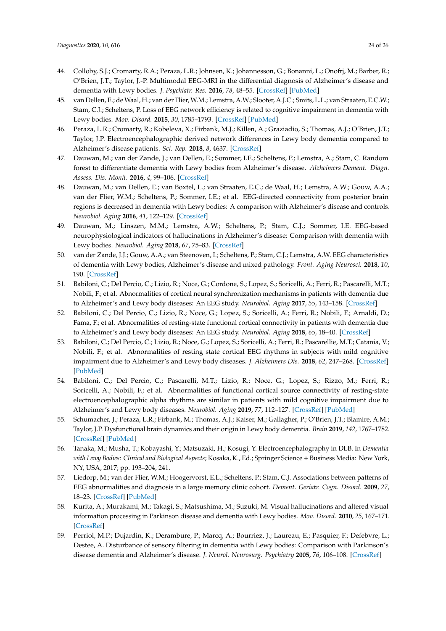- <span id="page-23-29"></span><span id="page-23-6"></span><span id="page-23-5"></span><span id="page-23-4"></span><span id="page-23-3"></span><span id="page-23-2"></span><span id="page-23-1"></span><span id="page-23-0"></span>44. Colloby, S.J.; Cromarty, R.A.; Peraza, L.R.; Johnsen, K.; Johannesson, G.; Bonanni, L.; Onofrj, M.; Barber, R.; O'Brien, J.T.; Taylor, J.-P. Multimodal EEG-MRI in the differential diagnosis of Alzheimer's disease and dementia with Lewy bodies. *J. Psychiatr. Res.* **2016**, *78*, 48–55. [\[CrossRef\]](http://dx.doi.org/10.1016/j.jpsychires.2016.03.010) [\[PubMed\]](http://www.ncbi.nlm.nih.gov/pubmed/27060340)
- <span id="page-23-23"></span><span id="page-23-7"></span>45. van Dellen, E.; de Waal, H.; van der Flier, W.M.; Lemstra, A.W.; Slooter, A.J.C.; Smits, L.L.; van Straaten, E.C.W.; Stam, C.J.; Scheltens, P. Loss of EEG network efficiency is related to cognitive impairment in dementia with Lewy bodies. *Mov. Disord.* **2015**, *30*, 1785–1793. [\[CrossRef\]](http://dx.doi.org/10.1002/mds.26309) [\[PubMed\]](http://www.ncbi.nlm.nih.gov/pubmed/26179663)
- <span id="page-23-19"></span><span id="page-23-8"></span>46. Peraza, L.R.; Cromarty, R.; Kobeleva, X.; Firbank, M.J.; Killen, A.; Graziadio, S.; Thomas, A.J.; O'Brien, J.T.; Taylor, J.P. Electroencephalographic derived network differences in Lewy body dementia compared to Alzheimer's disease patients. *Sci. Rep.* **2018**, *8*, 4637. [\[CrossRef\]](http://dx.doi.org/10.1038/s41598-018-22984-5)
- <span id="page-23-9"></span>47. Dauwan, M.; van der Zande, J.; van Dellen, E.; Sommer, I.E.; Scheltens, P.; Lemstra, A.; Stam, C. Random forest to differentiate dementia with Lewy bodies from Alzheimer's disease. *Alzheimers Dement. Diagn. Assess. Dis. Monit.* **2016**, *4*, 99–106. [\[CrossRef\]](http://dx.doi.org/10.1016/j.dadm.2016.07.003)
- <span id="page-23-24"></span><span id="page-23-10"></span>48. Dauwan, M.; van Dellen, E.; van Boxtel, L.; van Straaten, E.C.; de Waal, H.; Lemstra, A.W.; Gouw, A.A.; van der Flier, W.M.; Scheltens, P.; Sommer, I.E.; et al. EEG-directed connectivity from posterior brain regions is decreased in dementia with Lewy bodies: A comparison with Alzheimer's disease and controls. *Neurobiol. Aging* **2016**, *41*, 122–129. [\[CrossRef\]](http://dx.doi.org/10.1016/j.neurobiolaging.2016.02.017)
- <span id="page-23-16"></span><span id="page-23-11"></span>49. Dauwan, M.; Linszen, M.M.; Lemstra, A.W.; Scheltens, P.; Stam, C.J.; Sommer, I.E. EEG-based neurophysiological indicators of hallucinations in Alzheimer's disease: Comparison with dementia with Lewy bodies. *Neurobiol. Aging* **2018**, *67*, 75–83. [\[CrossRef\]](http://dx.doi.org/10.1016/j.neurobiolaging.2018.03.013)
- <span id="page-23-17"></span><span id="page-23-12"></span>50. van der Zande, J.J.; Gouw, A.A.; van Steenoven, I.; Scheltens, P.; Stam, C.J.; Lemstra, A.W. EEG characteristics of dementia with Lewy bodies, Alzheimer's disease and mixed pathology. *Front. Aging Neurosci.* **2018**, *10*, 190. [\[CrossRef\]](http://dx.doi.org/10.3389/fnagi.2018.00190)
- <span id="page-23-20"></span><span id="page-23-13"></span>51. Babiloni, C.; Del Percio, C.; Lizio, R.; Noce, G.; Cordone, S.; Lopez, S.; Soricelli, A.; Ferri, R.; Pascarelli, M.T.; Nobili, F.; et al. Abnormalities of cortical neural synchronization mechanisms in patients with dementia due to Alzheimer's and Lewy body diseases: An EEG study. *Neurobiol. Aging* **2017**, *55*, 143–158. [\[CrossRef\]](http://dx.doi.org/10.1016/j.neurobiolaging.2017.03.030)
- <span id="page-23-25"></span><span id="page-23-14"></span>52. Babiloni, C.; Del Percio, C.; Lizio, R.; Noce, G.; Lopez, S.; Soricelli, A.; Ferri, R.; Nobili, F.; Arnaldi, D.; Fama, F.; et al. Abnormalities of resting-state functional cortical connectivity in patients with dementia due to Alzheimer's and Lewy body diseases: An EEG study. *Neurobiol. Aging* **2018**, *65*, 18–40. [\[CrossRef\]](http://dx.doi.org/10.1016/j.neurobiolaging.2017.12.023)
- <span id="page-23-21"></span><span id="page-23-15"></span>53. Babiloni, C.; Del Percio, C.; Lizio, R.; Noce, G.; Lopez, S.; Soricelli, A.; Ferri, R.; Pascarellie, M.T.; Catania, V.; Nobili, F.; et al. Abnormalities of resting state cortical EEG rhythms in subjects with mild cognitive impairment due to Alzheimer's and Lewy body diseases. *J. Alzheimers Dis.* **2018**, *62*, 247–268. [\[CrossRef\]](http://dx.doi.org/10.3233/JAD-170703) [\[PubMed\]](http://www.ncbi.nlm.nih.gov/pubmed/29439335)
- <span id="page-23-30"></span>54. Babiloni, C.; Del Percio, C.; Pascarelli, M.T.; Lizio, R.; Noce, G.; Lopez, S.; Rizzo, M.; Ferri, R.; Soricelli, A.; Nobili, F.; et al. Abnormalities of functional cortical source connectivity of resting-state electroencephalographic alpha rhythms are similar in patients with mild cognitive impairment due to Alzheimer's and Lewy body diseases. *Neurobiol. Aging* **2019**, *77*, 112–127. [\[CrossRef\]](http://dx.doi.org/10.1016/j.neurobiolaging.2019.01.013) [\[PubMed\]](http://www.ncbi.nlm.nih.gov/pubmed/30797169)
- <span id="page-23-26"></span>55. Schumacher, J.; Peraza, L.R.; Firbank, M.; Thomas, A.J.; Kaiser, M.; Gallagher, P.; O'Brien, J.T.; Blamire, A.M.; Taylor, J.P. Dysfunctional brain dynamics and their origin in Lewy body dementia. *Brain* **2019**, *142*, 1767–1782. [\[CrossRef\]](http://dx.doi.org/10.1093/brain/awz069) [\[PubMed\]](http://www.ncbi.nlm.nih.gov/pubmed/30938426)
- <span id="page-23-22"></span>56. Tanaka, M.; Musha, T.; Kobayashi, Y.; Matsuzaki, H.; Kosugi, Y. Electroencephalography in DLB. In *Dementia with Lewy Bodies: Clinical and Biological Aspects*; Kosaka, K., Ed.; Springer Science + Business Media: New York, NY, USA, 2017; pp. 193–204, 241.
- <span id="page-23-18"></span>57. Liedorp, M.; van der Flier, W.M.; Hoogervorst, E.L.; Scheltens, P.; Stam, C.J. Associations between patterns of EEG abnormalities and diagnosis in a large memory clinic cohort. *Dement. Geriatr. Cogn. Disord.* **2009**, *27*, 18–23. [\[CrossRef\]](http://dx.doi.org/10.1159/000182422) [\[PubMed\]](http://www.ncbi.nlm.nih.gov/pubmed/19088474)
- <span id="page-23-28"></span>58. Kurita, A.; Murakami, M.; Takagi, S.; Matsushima, M.; Suzuki, M. Visual hallucinations and altered visual information processing in Parkinson disease and dementia with Lewy bodies. *Mov. Disord.* **2010**, *25*, 167–171. [\[CrossRef\]](http://dx.doi.org/10.1002/mds.22919)
- <span id="page-23-27"></span>59. Perriol, M.P.; Dujardin, K.; Derambure, P.; Marcq, A.; Bourriez, J.; Laureau, E.; Pasquier, F.; Defebvre, L.; Destee, A. Disturbance of sensory filtering in dementia with Lewy bodies: Comparison with Parkinson's disease dementia and Alzheimer's disease. *J. Neurol. Neurosurg. Psychiatry* **2005**, *76*, 106–108. [\[CrossRef\]](http://dx.doi.org/10.1136/jnnp.2003.035022)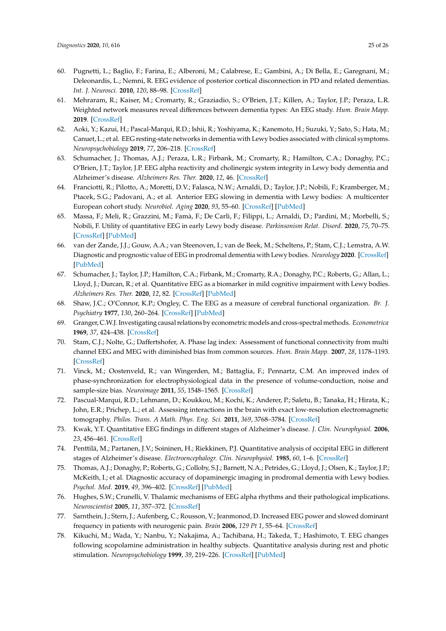- <span id="page-24-19"></span><span id="page-24-7"></span><span id="page-24-6"></span><span id="page-24-5"></span><span id="page-24-4"></span><span id="page-24-3"></span><span id="page-24-2"></span><span id="page-24-1"></span><span id="page-24-0"></span>60. Pugnetti, L.; Baglio, F.; Farina, E.; Alberoni, M.; Calabrese, E.; Gambini, A.; Di Bella, E.; Garegnani, M.; Deleonardis, L.; Nemni, R. EEG evidence of posterior cortical disconnection in PD and related dementias. *Int. J. Neurosci.* **2010**, *120*, 88–98. [\[CrossRef\]](http://dx.doi.org/10.3109/00207450903436346)
- <span id="page-24-14"></span>61. Mehraram, R.; Kaiser, M.; Cromarty, R.; Graziadio, S.; O'Brien, J.T.; Killen, A.; Taylor, J.P.; Peraza, L.R. Weighted network measures reveal differences between dementia types: An EEG study. *Hum. Brain Mapp.* **2019**. [\[CrossRef\]](http://dx.doi.org/10.1002/hbm.24896)
- <span id="page-24-20"></span>62. Aoki, Y.; Kazui, H.; Pascal-Marqui, R.D.; Ishii, R.; Yoshiyama, K.; Kanemoto, H.; Suzuki, Y.; Sato, S.; Hata, M.; Canuet, L.; et al. EEG resting-state networks in dementia with Lewy bodies associated with clinical symptoms. *Neuropsychobiology* **2019**, *77*, 206–218. [\[CrossRef\]](http://dx.doi.org/10.1159/000495620)
- <span id="page-24-9"></span>63. Schumacher, J.; Thomas, A.J.; Peraza, L.R.; Firbank, M.; Cromarty, R.; Hamilton, C.A.; Donaghy, P.C.; O'Brien, J.T.; Taylor, J.P. EEG alpha reactivity and cholinergic system integrity in Lewy body dementia and Alzheimer's disease. *Alzheimers Res. Ther.* **2020**, *12*, 46. [\[CrossRef\]](http://dx.doi.org/10.1186/s13195-020-00613-6)
- <span id="page-24-8"></span>64. Franciotti, R.; Pilotto, A.; Moretti, D.V.; Falasca, N.W.; Arnaldi, D.; Taylor, J.P.; Nobili, F.; Kramberger, M.; Ptacek, S.G.; Padovani, A.; et al. Anterior EEG slowing in dementia with Lewy bodies: A multicenter European cohort study. *Neurobiol. Aging* **2020**, *93*, 55–60. [\[CrossRef\]](http://dx.doi.org/10.1016/j.neurobiolaging.2020.04.023) [\[PubMed\]](http://www.ncbi.nlm.nih.gov/pubmed/32450445)
- <span id="page-24-17"></span>65. Massa, F.; Meli, R.; Grazzini, M.; Famà, F.; De Carli, F.; Filippi, L.; Arnaldi, D.; Pardini, M.; Morbelli, S.; Nobili, F. Utility of quantitative EEG in early Lewy body disease. *Parkinsonism Relat. Disord.* **2020**, *75*, 70–75. [\[CrossRef\]](http://dx.doi.org/10.1016/j.parkreldis.2020.05.007) [\[PubMed\]](http://www.ncbi.nlm.nih.gov/pubmed/32480310)
- <span id="page-24-16"></span>66. van der Zande, J.J.; Gouw, A.A.; van Steenoven, I.; van de Beek, M.; Scheltens, P.; Stam, C.J.; Lemstra, A.W. Diagnostic and prognostic value of EEG in prodromal dementia with Lewy bodies. *Neurology* **2020**. [\[CrossRef\]](http://dx.doi.org/10.1212/WNL.0000000000009977) [\[PubMed\]](http://www.ncbi.nlm.nih.gov/pubmed/32636325)
- <span id="page-24-18"></span>67. Schumacher, J.; Taylor, J.P.; Hamilton, C.A.; Firbank, M.; Cromarty, R.A.; Donaghy, P.C.; Roberts, G.; Allan, L.; Lloyd, J.; Durcan, R.; et al. Quantitative EEG as a biomarker in mild cognitive impairment with Lewy bodies. *Alzheimers Res. Ther.* **2020**, *12*, 82. [\[CrossRef\]](http://dx.doi.org/10.1186/s13195-020-00650-1) [\[PubMed\]](http://www.ncbi.nlm.nih.gov/pubmed/32641111)
- <span id="page-24-10"></span>68. Shaw, J.C.; O'Connor, K.P.; Ongley, C. The EEG as a measure of cerebral functional organization. *Br. J. Psychiatry* **1977**, *130*, 260–264. [\[CrossRef\]](http://dx.doi.org/10.1192/bjp.130.3.260) [\[PubMed\]](http://www.ncbi.nlm.nih.gov/pubmed/843775)
- <span id="page-24-11"></span>69. Granger, C.W.J. Investigating causal relations by econometric models and cross-spectral methods. *Econometrica* **1969**, *37*, 424–438. [\[CrossRef\]](http://dx.doi.org/10.2307/1912791)
- <span id="page-24-12"></span>70. Stam, C.J.; Nolte, G.; Daffertshofer, A. Phase lag index: Assessment of functional connectivity from multi channel EEG and MEG with diminished bias from common sources. *Hum. Brain Mapp.* **2007**, *28*, 1178–1193. [\[CrossRef\]](http://dx.doi.org/10.1002/hbm.20346)
- <span id="page-24-13"></span>71. Vinck, M.; Oostenveld, R.; van Wingerden, M.; Battaglia, F.; Pennartz, C.M. An improved index of phase-synchronization for electrophysiological data in the presence of volume-conduction, noise and sample-size bias. *Neuroimage* **2011**, *55*, 1548–1565. [\[CrossRef\]](http://dx.doi.org/10.1016/j.neuroimage.2011.01.055)
- <span id="page-24-15"></span>72. Pascual-Marqui, R.D.; Lehmann, D.; Koukkou, M.; Kochi, K.; Anderer, P.; Saletu, B.; Tanaka, H.; Hirata, K.; John, E.R.; Prichep, L.; et al. Assessing interactions in the brain with exact low-resolution electromagnetic tomography. *Philos. Trans. A Math. Phys. Eng. Sci.* **2011**, *369*, 3768–3784. [\[CrossRef\]](http://dx.doi.org/10.1098/rsta.2011.0081)
- <span id="page-24-21"></span>73. Kwak, Y.T. Quantitative EEG findings in different stages of Alzheimer's disease. *J. Clin. Neurophysiol.* **2006**, *23*, 456–461. [\[CrossRef\]](http://dx.doi.org/10.1097/01.wnp.0000223453.47663.63)
- <span id="page-24-22"></span>74. Penttilä, M.; Partanen, J.V.; Soininen, H.; Riekkinen, P.J. Quantitative analysis of occipital EEG in different stages of Alzheimer's disease. *Electroencephalogr. Clin. Neurophysiol.* **1985**, *60*, 1–6. [\[CrossRef\]](http://dx.doi.org/10.1016/0013-4694(85)90942-3)
- <span id="page-24-23"></span>75. Thomas, A.J.; Donaghy, P.; Roberts, G.; Colloby, S.J.; Barnett, N.A.; Petrides, G.; Lloyd, J.; Olsen, K.; Taylor, J.P.; McKeith, I.; et al. Diagnostic accuracy of dopaminergic imaging in prodromal dementia with Lewy bodies. *Psychol. Med.* **2019**, *49*, 396–402. [\[CrossRef\]](http://dx.doi.org/10.1017/S0033291718000995) [\[PubMed\]](http://www.ncbi.nlm.nih.gov/pubmed/29692275)
- <span id="page-24-24"></span>76. Hughes, S.W.; Crunelli, V. Thalamic mechanisms of EEG alpha rhythms and their pathological implications. *Neuroscientist* **2005**, *11*, 357–372. [\[CrossRef\]](http://dx.doi.org/10.1177/1073858405277450)
- <span id="page-24-25"></span>77. Sarnthein, J.; Stern, J.; Aufenberg, C.; Rousson, V.; Jeanmonod, D. Increased EEG power and slowed dominant frequency in patients with neurogenic pain. *Brain* **2006**, *129 Pt 1*, 55–64. [\[CrossRef\]](http://dx.doi.org/10.1093/brain/awh631)
- <span id="page-24-26"></span>78. Kikuchi, M.; Wada, Y.; Nanbu, Y.; Nakajima, A.; Tachibana, H.; Takeda, T.; Hashimoto, T. EEG changes following scopolamine administration in healthy subjects. Quantitative analysis during rest and photic stimulation. *Neuropsychobiology* **1999**, *39*, 219–226. [\[CrossRef\]](http://dx.doi.org/10.1159/000026588) [\[PubMed\]](http://www.ncbi.nlm.nih.gov/pubmed/10343188)